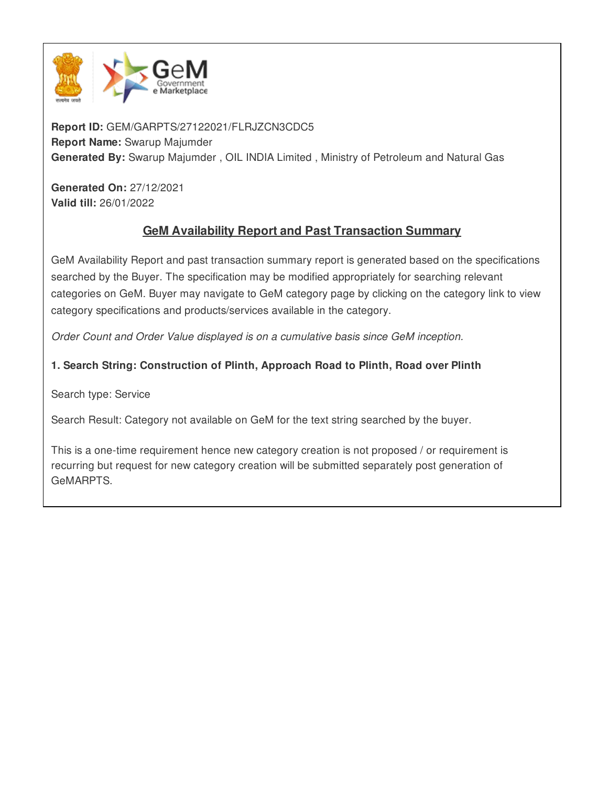

**Report ID:** GEM/GARPTS/27122021/FLRJZCN3CDC5 **Report Name:** Swarup Majumder **Generated By:** Swarup Majumder , OIL INDIA Limited , Ministry of Petroleum and Natural Gas

**Generated On:** 27/12/2021 **Valid till:** 26/01/2022

# **GeM Availability Report and Past Transaction Summary**

GeM Availability Report and past transaction summary report is generated based on the specifications searched by the Buyer. The specification may be modified appropriately for searching relevant categories on GeM. Buyer may navigate to GeM category page by clicking on the category link to view category specifications and products/services available in the category.

*Order Count and Order Value displayed is on a cumulative basis since GeM inception.*

# **1. Search String: Construction of Plinth, Approach Road to Plinth, Road over Plinth**

Search type: Service

Search Result: Category not available on GeM for the text string searched by the buyer.

This is a one-time requirement hence new category creation is not proposed / or requirement is recurring but request for new category creation will be submitted separately post generation of GeMARPTS.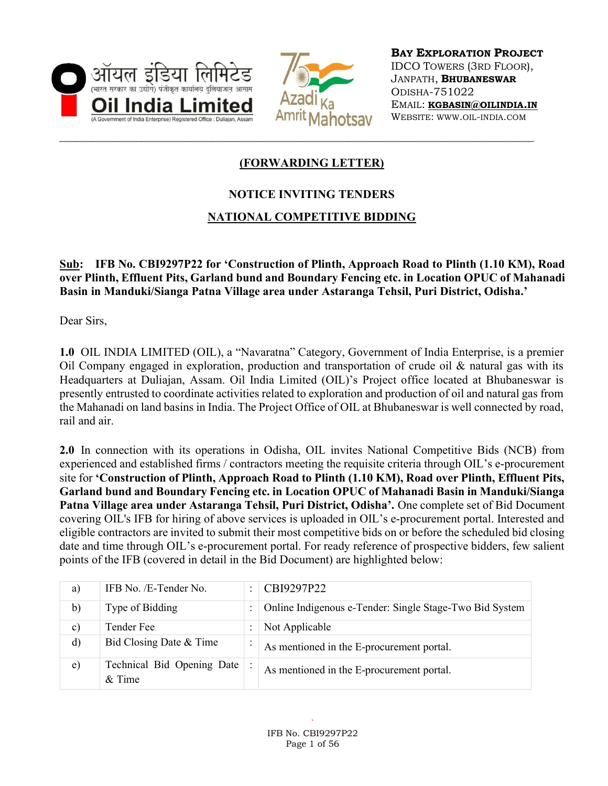



BAY EXPLORATION PROJECT IDCO TOWERS (3RD FLOOR), JANPATH, BHUBANESWAR ODISHA-751022 EMAIL: KGBASIN@OILINDIA.IN WEBSITE: WWW.OIL-INDIA.COM

# (FORWARDING LETTER)

## NOTICE INVITING TENDERS

### NATIONAL COMPETITIVE BIDDING

Sub: IFB No. CBI9297P22 for 'Construction of Plinth, Approach Road to Plinth (1.10 KM), Road over Plinth, Effluent Pits, Garland bund and Boundary Fencing etc. in Location OPUC of Mahanadi Basin in Manduki/Sianga Patna Village area under Astaranga Tehsil, Puri District, Odisha.'

Dear Sirs,

1.0 OIL INDIA LIMITED (OIL), a "Navaratna" Category, Government of India Enterprise, is a premier Oil Company engaged in exploration, production and transportation of crude oil & natural gas with its Headquarters at Duliajan, Assam. Oil India Limited (OIL)'s Project office located at Bhubaneswar is presently entrusted to coordinate activities related to exploration and production of oil and natural gas from the Mahanadi on land basins in India. The Project Office of OIL at Bhubaneswar is well connected by road, rail and air.

2.0 In connection with its operations in Odisha, OIL invites National Competitive Bids (NCB) from experienced and established firms / contractors meeting the requisite criteria through OIL's e-procurement site for 'Construction of Plinth, Approach Road to Plinth (1.10 KM), Road over Plinth, Effluent Pits, Garland bund and Boundary Fencing etc. in Location OPUC of Mahanadi Basin in Manduki/Sianga Patna Village area under Astaranga Tehsil, Puri District, Odisha'. One complete set of Bid Document covering OIL's IFB for hiring of above services is uploaded in OIL's e-procurement portal. Interested and eligible contractors are invited to submit their most competitive bids on or before the scheduled bid closing date and time through OIL's e-procurement portal. For ready reference of prospective bidders, few salient points of the IFB (covered in detail in the Bid Document) are highlighted below:

| a)             | IFB No. /E-Tender No.                  | ٠ | CBI9297P22                                              |
|----------------|----------------------------------------|---|---------------------------------------------------------|
| b)             | Type of Bidding                        |   | Online Indigenous e-Tender: Single Stage-Two Bid System |
| $\mathbf{c}$ ) | Tender Fee                             |   | Not Applicable                                          |
| $\rm d$        | Bid Closing Date & Time                |   | As mentioned in the E-procurement portal.               |
| e)             | Technical Bid Opening Date<br>$&$ Time |   | As mentioned in the E-procurement portal.               |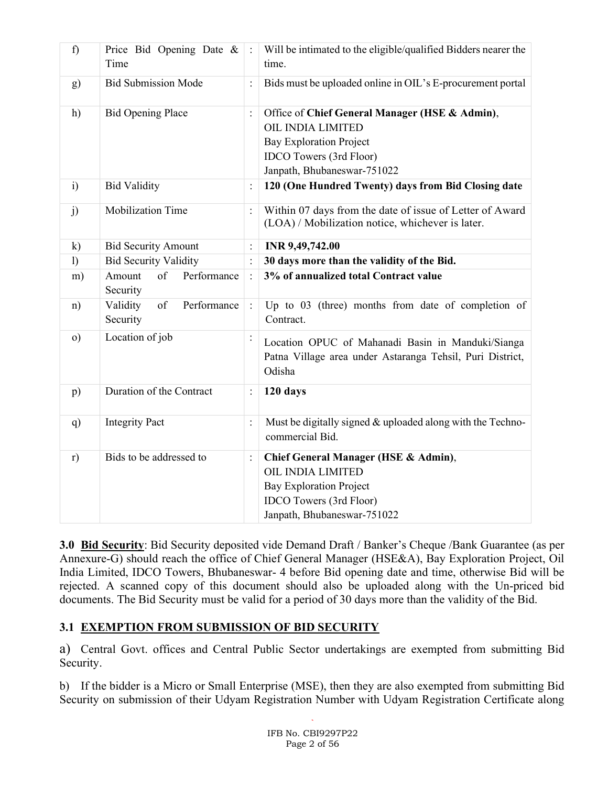| f)               | Price Bid Opening Date &<br>Time          | $\mathbf{I}$ : | Will be intimated to the eligible/qualified Bidders nearer the<br>time.                                                                                                |
|------------------|-------------------------------------------|----------------|------------------------------------------------------------------------------------------------------------------------------------------------------------------------|
| g)               | <b>Bid Submission Mode</b>                | $\ddot{\cdot}$ | Bids must be uploaded online in OIL's E-procurement portal                                                                                                             |
| h)               | <b>Bid Opening Place</b>                  | $\colon$       | Office of Chief General Manager (HSE & Admin),<br>OIL INDIA LIMITED<br><b>Bay Exploration Project</b><br><b>IDCO</b> Towers (3rd Floor)<br>Janpath, Bhubaneswar-751022 |
| $\ddot{i}$       | <b>Bid Validity</b>                       | $\ddot{\cdot}$ | 120 (One Hundred Twenty) days from Bid Closing date                                                                                                                    |
| j)               | Mobilization Time                         | $\ddot{\cdot}$ | Within 07 days from the date of issue of Letter of Award<br>(LOA) / Mobilization notice, whichever is later.                                                           |
| $\mathbf{k}$     | <b>Bid Security Amount</b>                | $\colon$       | INR 9,49,742.00                                                                                                                                                        |
| $\left( \right)$ | <b>Bid Security Validity</b>              |                | 30 days more than the validity of the Bid.                                                                                                                             |
| m)               | Performance<br>Amount<br>of<br>Security   | $\ddot{\cdot}$ | 3% of annualized total Contract value                                                                                                                                  |
| n)               | Performance<br>Validity<br>of<br>Security | $\therefore$   | Up to 03 (three) months from date of completion of<br>Contract.                                                                                                        |
| $\circ$ )        | Location of job                           |                | Location OPUC of Mahanadi Basin in Manduki/Sianga<br>Patna Village area under Astaranga Tehsil, Puri District,<br>Odisha                                               |
| p)               | Duration of the Contract                  | $\vdots$       | 120 days                                                                                                                                                               |
| q)               | <b>Integrity Pact</b>                     |                | Must be digitally signed & uploaded along with the Techno-<br>commercial Bid.                                                                                          |
| r)               | Bids to be addressed to                   | $\colon$       | Chief General Manager (HSE & Admin),<br><b>OIL INDIA LIMITED</b><br><b>Bay Exploration Project</b><br><b>IDCO</b> Towers (3rd Floor)<br>Janpath, Bhubaneswar-751022    |

3.0 Bid Security: Bid Security deposited vide Demand Draft / Banker's Cheque / Bank Guarantee (as per Annexure-G) should reach the office of Chief General Manager (HSE&A), Bay Exploration Project, Oil India Limited, IDCO Towers, Bhubaneswar- 4 before Bid opening date and time, otherwise Bid will be rejected. A scanned copy of this document should also be uploaded along with the Un-priced bid documents. The Bid Security must be valid for a period of 30 days more than the validity of the Bid.

## 3.1 EXEMPTION FROM SUBMISSION OF BID SECURITY

a) Central Govt. offices and Central Public Sector undertakings are exempted from submitting Bid Security.

b) If the bidder is a Micro or Small Enterprise (MSE), then they are also exempted from submitting Bid Security on submission of their Udyam Registration Number with Udyam Registration Certificate along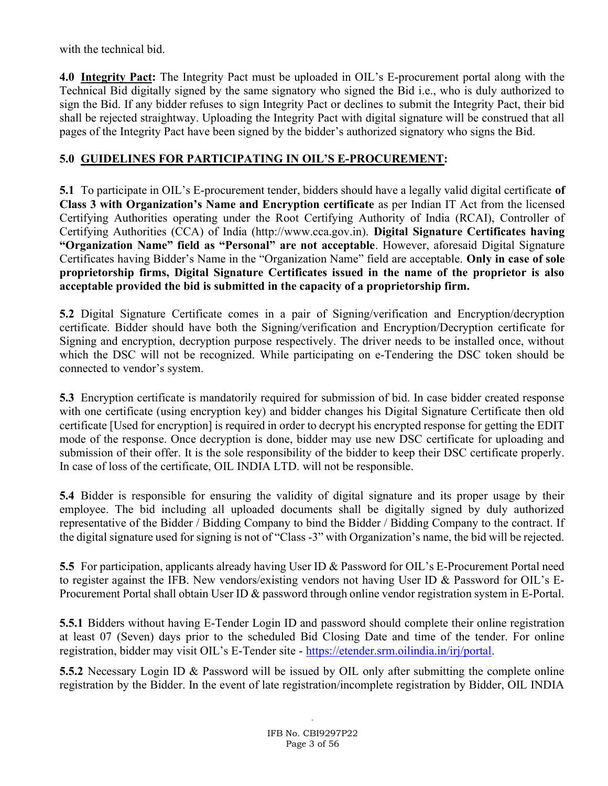with the technical bid.

4.0 Integrity Pact: The Integrity Pact must be uploaded in OIL's E-procurement portal along with the Technical Bid digitally signed by the same signatory who signed the Bid i.e., who is duly authorized to sign the Bid. If any bidder refuses to sign Integrity Pact or declines to submit the Integrity Pact, their bid shall be rejected straightway. Uploading the Integrity Pact with digital signature will be construed that all pages of the Integrity Pact have been signed by the bidder's authorized signatory who signs the Bid.

# 5.0 GUIDELINES FOR PARTICIPATING IN OIL'S E-PROCUREMENT:

5.1 To participate in OIL's E-procurement tender, bidders should have a legally valid digital certificate of Class 3 with Organization's Name and Encryption certificate as per Indian IT Act from the licensed Certifying Authorities operating under the Root Certifying Authority of India (RCAI), Controller of Certifying Authorities (CCA) of India (http://www.cca.gov.in). Digital Signature Certificates having "Organization Name" field as "Personal" are not acceptable. However, aforesaid Digital Signature Certificates having Bidder's Name in the "Organization Name" field are acceptable. Only in case of sole proprietorship firms, Digital Signature Certificates issued in the name of the proprietor is also acceptable provided the bid is submitted in the capacity of a proprietorship firm.

5.2 Digital Signature Certificate comes in a pair of Signing/verification and Encryption/decryption certificate. Bidder should have both the Signing/verification and Encryption/Decryption certificate for Signing and encryption, decryption purpose respectively. The driver needs to be installed once, without which the DSC will not be recognized. While participating on e-Tendering the DSC token should be connected to vendor's system.

5.3 Encryption certificate is mandatorily required for submission of bid. In case bidder created response with one certificate (using encryption key) and bidder changes his Digital Signature Certificate then old certificate [Used for encryption] is required in order to decrypt his encrypted response for getting the EDIT mode of the response. Once decryption is done, bidder may use new DSC certificate for uploading and submission of their offer. It is the sole responsibility of the bidder to keep their DSC certificate properly. In case of loss of the certificate, OIL INDIA LTD. will not be responsible.

5.4 Bidder is responsible for ensuring the validity of digital signature and its proper usage by their employee. The bid including all uploaded documents shall be digitally signed by duly authorized representative of the Bidder / Bidding Company to bind the Bidder / Bidding Company to the contract. If the digital signature used for signing is not of "Class -3" with Organization's name, the bid will be rejected.

5.5 For participation, applicants already having User ID & Password for OIL's E-Procurement Portal need to register against the IFB. New vendors/existing vendors not having User ID & Password for OIL's E-Procurement Portal shall obtain User ID & password through online vendor registration system in E-Portal.

5.5.1 Bidders without having E-Tender Login ID and password should complete their online registration at least 07 (Seven) days prior to the scheduled Bid Closing Date and time of the tender. For online registration, bidder may visit OIL's E-Tender site - https://etender.srm.oilindia.in/irj/portal.

5.5.2 Necessary Login ID & Password will be issued by OIL only after submitting the complete online registration by the Bidder. In the event of late registration/incomplete registration by Bidder, OIL INDIA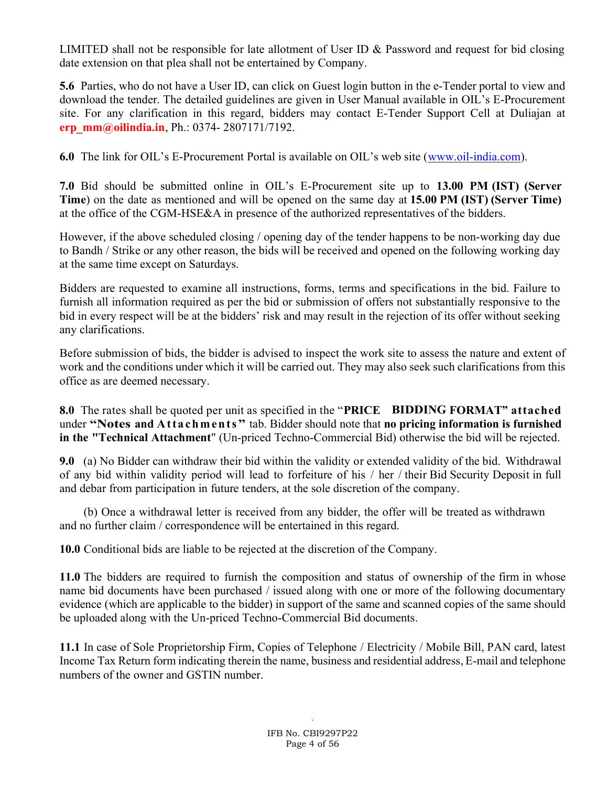LIMITED shall not be responsible for late allotment of User ID  $\&$  Password and request for bid closing date extension on that plea shall not be entertained by Company.

5.6 Parties, who do not have a User ID, can click on Guest login button in the e-Tender portal to view and download the tender. The detailed guidelines are given in User Manual available in OIL's E-Procurement site. For any clarification in this regard, bidders may contact E-Tender Support Cell at Duliajan at erp\_mm@oilindia.in, Ph.: 0374- 2807171/7192.

6.0 The link for OIL's E-Procurement Portal is available on OIL's web site (www.oil-india.com).

7.0 Bid should be submitted online in OIL's E-Procurement site up to 13.00 PM (IST) (Server Time) on the date as mentioned and will be opened on the same day at 15.00 PM (IST) (Server Time) at the office of the CGM-HSE&A in presence of the authorized representatives of the bidders.

However, if the above scheduled closing / opening day of the tender happens to be non-working day due to Bandh / Strike or any other reason, the bids will be received and opened on the following working day at the same time except on Saturdays.

Bidders are requested to examine all instructions, forms, terms and specifications in the bid. Failure to furnish all information required as per the bid or submission of offers not substantially responsive to the bid in every respect will be at the bidders' risk and may result in the rejection of its offer without seeking any clarifications.

Before submission of bids, the bidder is advised to inspect the work site to assess the nature and extent of work and the conditions under which it will be carried out. They may also seek such clarifications from this office as are deemed necessary.

8.0 The rates shall be quoted per unit as specified in the "PRICE BIDDING FORMAT" attached under "Notes and Attachments" tab. Bidder should note that no pricing information is furnished in the "Technical Attachment" (Un-priced Techno-Commercial Bid) otherwise the bid will be rejected.

9.0 (a) No Bidder can withdraw their bid within the validity or extended validity of the bid. Withdrawal of any bid within validity period will lead to forfeiture of his / her / their Bid Security Deposit in full and debar from participation in future tenders, at the sole discretion of the company.

 (b) Once a withdrawal letter is received from any bidder, the offer will be treated as withdrawn and no further claim / correspondence will be entertained in this regard.

10.0 Conditional bids are liable to be rejected at the discretion of the Company.

11.0 The bidders are required to furnish the composition and status of ownership of the firm in whose name bid documents have been purchased / issued along with one or more of the following documentary evidence (which are applicable to the bidder) in support of the same and scanned copies of the same should be uploaded along with the Un-priced Techno-Commercial Bid documents.

11.1 In case of Sole Proprietorship Firm, Copies of Telephone / Electricity / Mobile Bill, PAN card, latest Income Tax Return form indicating therein the name, business and residential address, E-mail and telephone numbers of the owner and GSTIN number.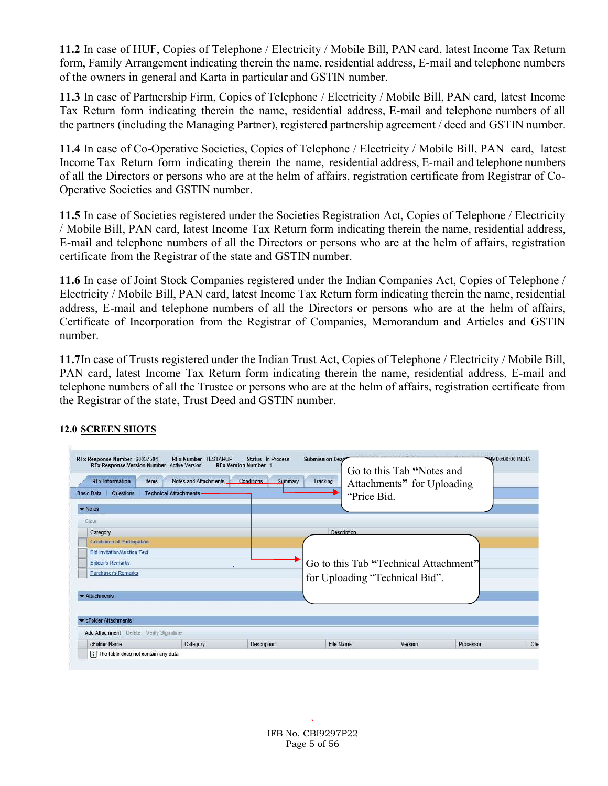11.2 In case of HUF, Copies of Telephone / Electricity / Mobile Bill, PAN card, latest Income Tax Return form, Family Arrangement indicating therein the name, residential address, E-mail and telephone numbers of the owners in general and Karta in particular and GSTIN number.

11.3 In case of Partnership Firm, Copies of Telephone / Electricity / Mobile Bill, PAN card, latest Income Tax Return form indicating therein the name, residential address, E-mail and telephone numbers of all the partners (including the Managing Partner), registered partnership agreement / deed and GSTIN number.

11.4 In case of Co-Operative Societies, Copies of Telephone / Electricity / Mobile Bill, PAN card, latest Income Tax Return form indicating therein the name, residential address, E-mail and telephone numbers of all the Directors or persons who are at the helm of affairs, registration certificate from Registrar of Co-Operative Societies and GSTIN number.

11.5 In case of Societies registered under the Societies Registration Act, Copies of Telephone / Electricity / Mobile Bill, PAN card, latest Income Tax Return form indicating therein the name, residential address, E-mail and telephone numbers of all the Directors or persons who are at the helm of affairs, registration certificate from the Registrar of the state and GSTIN number.

11.6 In case of Joint Stock Companies registered under the Indian Companies Act, Copies of Telephone / Electricity / Mobile Bill, PAN card, latest Income Tax Return form indicating therein the name, residential address, E-mail and telephone numbers of all the Directors or persons who are at the helm of affairs, Certificate of Incorporation from the Registrar of Companies, Memorandum and Articles and GSTIN number.

11.7In case of Trusts registered under the Indian Trust Act, Copies of Telephone / Electricity / Mobile Bill, PAN card, latest Income Tax Return form indicating therein the name, residential address, E-mail and telephone numbers of all the Trustee or persons who are at the helm of affairs, registration certificate from the Registrar of the state, Trust Deed and GSTIN number.

| <b>RFx Information</b><br>Notes and Attachments<br>Conditions<br>Items<br>Summary<br><b>Technical Attachments</b><br>Questions<br><b>Basic Data</b> |          |                    | Go to this Tab "Notes and<br>Tracking<br>Attachments" for Uploading<br>"Price Bid. |         |           |     |
|-----------------------------------------------------------------------------------------------------------------------------------------------------|----------|--------------------|------------------------------------------------------------------------------------|---------|-----------|-----|
| $\blacktriangleright$ Notes                                                                                                                         |          |                    |                                                                                    |         |           |     |
| Clear                                                                                                                                               |          |                    |                                                                                    |         |           |     |
| Category                                                                                                                                            |          |                    | Description                                                                        |         |           |     |
| <b>Conditions of Participation</b>                                                                                                                  |          |                    |                                                                                    |         |           |     |
| <b>Bid Invitation/Auction Text</b><br><b>Bidder's Remarks</b><br><b>Purchaser's Remarks</b>                                                         |          |                    | Go to this Tab "Technical Attachment"<br>for Uploading "Technical Bid".            |         |           |     |
|                                                                                                                                                     |          |                    |                                                                                    |         |           |     |
|                                                                                                                                                     |          |                    |                                                                                    |         |           |     |
|                                                                                                                                                     |          |                    |                                                                                    |         |           |     |
| <b>*</b> Attachments                                                                                                                                |          |                    |                                                                                    |         |           |     |
|                                                                                                                                                     |          |                    |                                                                                    |         |           |     |
| CFolder Attachments                                                                                                                                 |          |                    |                                                                                    |         |           |     |
| Verify Signature<br>Add Attachment Delete                                                                                                           |          |                    |                                                                                    |         |           |     |
| cFolder Name                                                                                                                                        | Category | <b>Description</b> | <b>File Name</b>                                                                   | Version | Processor | Che |

#### 12.0 SCREEN SHOTS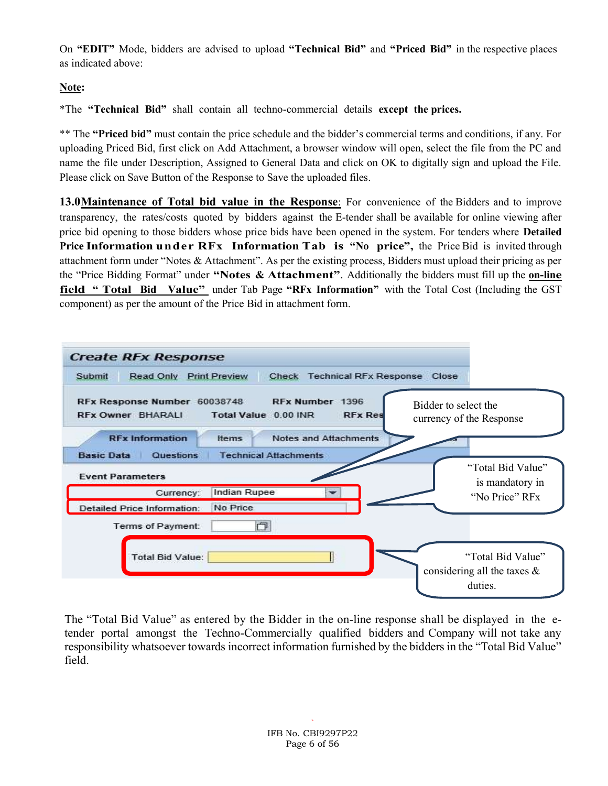On "EDIT" Mode, bidders are advised to upload "Technical Bid" and "Priced Bid" in the respective places as indicated above:

### Note:

\*The "Technical Bid" shall contain all techno-commercial details except the prices.

\*\* The "Priced bid" must contain the price schedule and the bidder's commercial terms and conditions, if any. For uploading Priced Bid, first click on Add Attachment, a browser window will open, select the file from the PC and name the file under Description, Assigned to General Data and click on OK to digitally sign and upload the File. Please click on Save Button of the Response to Save the uploaded files.

13.0 Maintenance of Total bid value in the Response: For convenience of the Bidders and to improve transparency, the rates/costs quoted by bidders against the E-tender shall be available for online viewing after price bid opening to those bidders whose price bids have been opened in the system. For tenders where Detailed Price Information under RFx Information Tab is "No price", the Price Bid is invited through attachment form under "Notes & Attachment". As per the existing process, Bidders must upload their pricing as per the "Price Bidding Format" under "Notes & Attachment". Additionally the bidders must fill up the on-line field " Total Bid Value" under Tab Page "RFx Information" with the Total Cost (Including the GST component) as per the amount of the Price Bid in attachment form.



The "Total Bid Value" as entered by the Bidder in the on-line response shall be displayed in the etender portal amongst the Techno-Commercially qualified bidders and Company will not take any responsibility whatsoever towards incorrect information furnished by the bidders in the "Total Bid Value" field.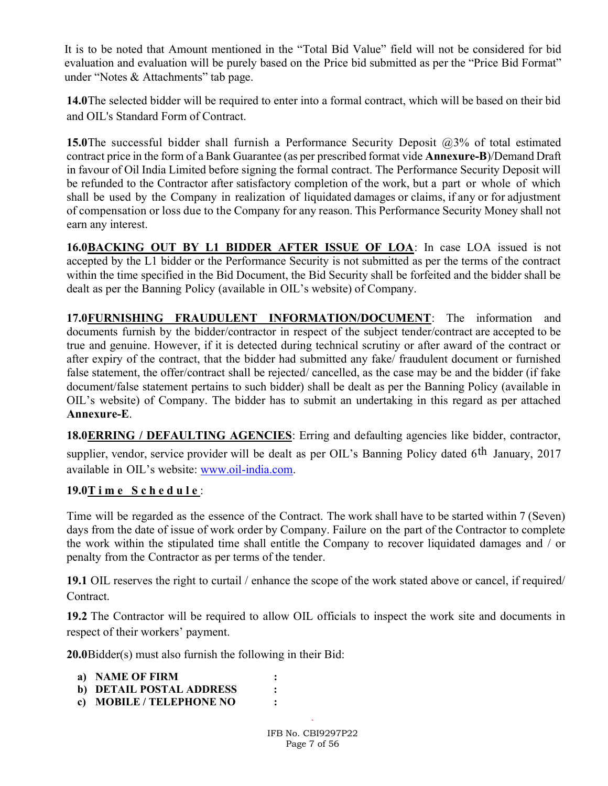It is to be noted that Amount mentioned in the "Total Bid Value" field will not be considered for bid evaluation and evaluation will be purely based on the Price bid submitted as per the "Price Bid Format" under "Notes & Attachments" tab page.

14.0The selected bidder will be required to enter into a formal contract, which will be based on their bid and OIL's Standard Form of Contract.

**15.0**The successful bidder shall furnish a Performance Security Deposit  $(2,3)$ % of total estimated contract price in the form of a Bank Guarantee (as per prescribed format vide **Annexure-B**)/Demand Draft in favour of Oil India Limited before signing the formal contract. The Performance Security Deposit will be refunded to the Contractor after satisfactory completion of the work, but a part or whole of which shall be used by the Company in realization of liquidated damages or claims, if any or for adjustment of compensation or loss due to the Company for any reason. This Performance Security Money shall not earn any interest.

16.0BACKING OUT BY L1 BIDDER AFTER ISSUE OF LOA: In case LOA issued is not accepted by the L1 bidder or the Performance Security is not submitted as per the terms of the contract within the time specified in the Bid Document, the Bid Security shall be forfeited and the bidder shall be dealt as per the Banning Policy (available in OIL's website) of Company.

17.0FURNISHING FRAUDULENT INFORMATION/DOCUMENT: The information and documents furnish by the bidder/contractor in respect of the subject tender/contract are accepted to be true and genuine. However, if it is detected during technical scrutiny or after award of the contract or after expiry of the contract, that the bidder had submitted any fake/ fraudulent document or furnished false statement, the offer/contract shall be rejected/ cancelled, as the case may be and the bidder (if fake document/false statement pertains to such bidder) shall be dealt as per the Banning Policy (available in OIL's website) of Company. The bidder has to submit an undertaking in this regard as per attached Annexure-E.

18.0ERRING / DEFAULTING AGENCIES: Erring and defaulting agencies like bidder, contractor,

supplier, vendor, service provider will be dealt as per OIL's Banning Policy dated 6<sup>th</sup> January, 2017 available in OIL's website: www.oil-india.com.

### $19.0$ T i m e S c h e d u l e :

Time will be regarded as the essence of the Contract. The work shall have to be started within 7 (Seven) days from the date of issue of work order by Company. Failure on the part of the Contractor to complete the work within the stipulated time shall entitle the Company to recover liquidated damages and / or penalty from the Contractor as per terms of the tender.

19.1 OIL reserves the right to curtail / enhance the scope of the work stated above or cancel, if required/ Contract.

19.2 The Contractor will be required to allow OIL officials to inspect the work site and documents in respect of their workers' payment.

20.0Bidder(s) must also furnish the following in their Bid:

| a) NAME OF FIRM          |  |
|--------------------------|--|
| b) DETAIL POSTAL ADDRESS |  |
| c) MOBILE / TELEPHONE NO |  |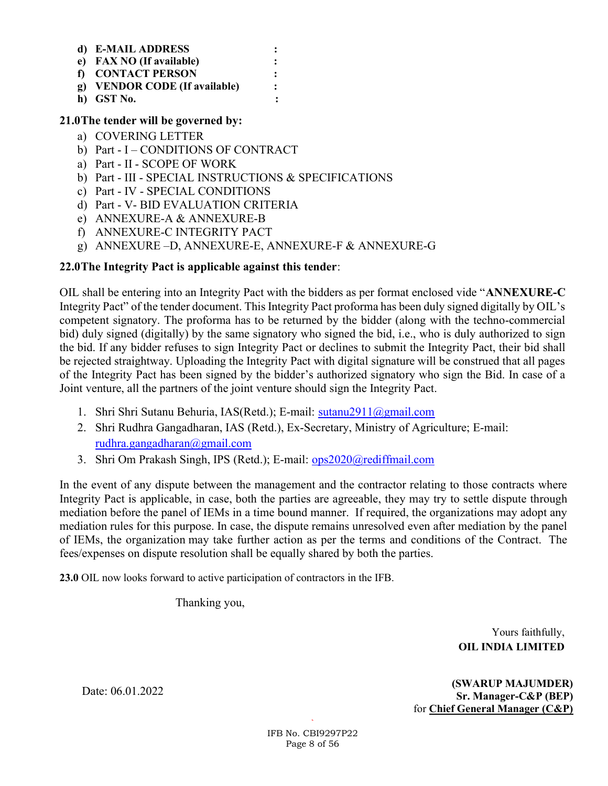| d) E-MAIL ADDRESS             |  |
|-------------------------------|--|
| e) FAX NO (If available)      |  |
| f) CONTACT PERSON             |  |
| g) VENDOR CODE (If available) |  |
| h) GST No.                    |  |

#### 21.0The tender will be governed by:

- a) COVERING LETTER
- b) Part I CONDITIONS OF CONTRACT
- a) Part II SCOPE OF WORK
- b) Part III SPECIAL INSTRUCTIONS & SPECIFICATIONS
- c) Part IV SPECIAL CONDITIONS
- d) Part V- BID EVALUATION CRITERIA
- e) ANNEXURE-A & ANNEXURE-B
- f) ANNEXURE-C INTEGRITY PACT
- g) ANNEXURE –D, ANNEXURE-E, ANNEXURE-F & ANNEXURE-G

#### 22.0The Integrity Pact is applicable against this tender:

OIL shall be entering into an Integrity Pact with the bidders as per format enclosed vide "ANNEXURE-C Integrity Pact" of the tender document. This Integrity Pact proforma has been duly signed digitally by OIL's competent signatory. The proforma has to be returned by the bidder (along with the techno-commercial bid) duly signed (digitally) by the same signatory who signed the bid, i.e., who is duly authorized to sign the bid. If any bidder refuses to sign Integrity Pact or declines to submit the Integrity Pact, their bid shall be rejected straightway. Uploading the Integrity Pact with digital signature will be construed that all pages of the Integrity Pact has been signed by the bidder's authorized signatory who sign the Bid. In case of a Joint venture, all the partners of the joint venture should sign the Integrity Pact.

- 1. Shri Shri Sutanu Behuria, IAS(Retd.); E-mail: sutanu2911@gmail.com
- 2. Shri Rudhra Gangadharan, IAS (Retd.), Ex-Secretary, Ministry of Agriculture; E-mail: rudhra.gangadharan@gmail.com
- 3. Shri Om Prakash Singh, IPS (Retd.); E-mail: ops2020@rediffmail.com

In the event of any dispute between the management and the contractor relating to those contracts where Integrity Pact is applicable, in case, both the parties are agreeable, they may try to settle dispute through mediation before the panel of IEMs in a time bound manner. If required, the organizations may adopt any mediation rules for this purpose. In case, the dispute remains unresolved even after mediation by the panel of IEMs, the organization may take further action as per the terms and conditions of the Contract. The fees/expenses on dispute resolution shall be equally shared by both the parties.

23.0 OIL now looks forward to active participation of contractors in the IFB.

Thanking you,

 Yours faithfully, OIL INDIA LIMITED

 (SWARUP MAJUMDER) Sr. Manager-C&P (BEP) for Chief General Manager (C&P)

Date: 06.01.2022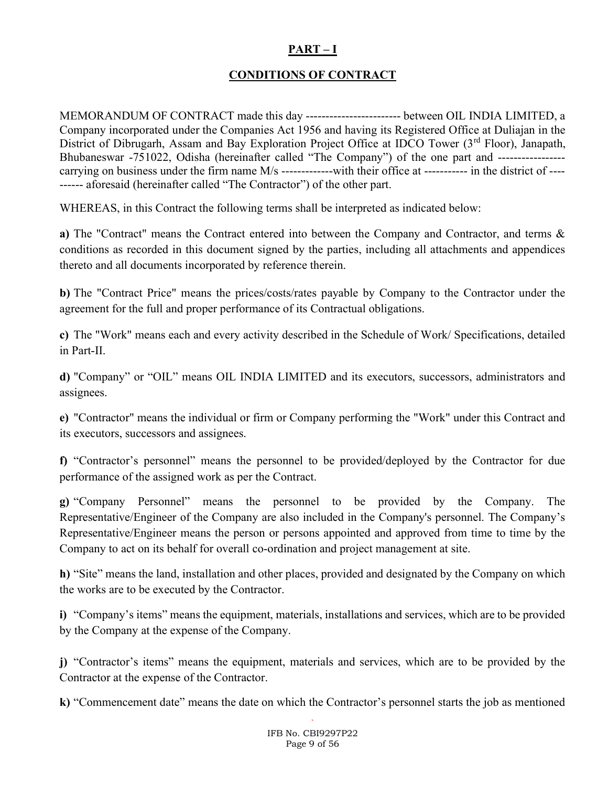### PART – I

### CONDITIONS OF CONTRACT

MEMORANDUM OF CONTRACT made this day ------------------------ between OIL INDIA LIMITED, a Company incorporated under the Companies Act 1956 and having its Registered Office at Duliajan in the District of Dibrugarh, Assam and Bay Exploration Project Office at IDCO Tower (3<sup>rd</sup> Floor), Janapath, Bhubaneswar -751022, Odisha (hereinafter called "The Company") of the one part and ---------------- carrying on business under the firm name M/s ---------------with their office at ----------- in the district of ---------- aforesaid (hereinafter called "The Contractor") of the other part.

WHEREAS, in this Contract the following terms shall be interpreted as indicated below:

a) The "Contract" means the Contract entered into between the Company and Contractor, and terms & conditions as recorded in this document signed by the parties, including all attachments and appendices thereto and all documents incorporated by reference therein.

b) The "Contract Price" means the prices/costs/rates payable by Company to the Contractor under the agreement for the full and proper performance of its Contractual obligations.

c) The "Work" means each and every activity described in the Schedule of Work/ Specifications, detailed in Part-II.

d) "Company" or "OIL" means OIL INDIA LIMITED and its executors, successors, administrators and assignees.

e) "Contractor" means the individual or firm or Company performing the "Work" under this Contract and its executors, successors and assignees.

f) "Contractor's personnel" means the personnel to be provided/deployed by the Contractor for due performance of the assigned work as per the Contract.

g) "Company Personnel" means the personnel to be provided by the Company. The Representative/Engineer of the Company are also included in the Company's personnel. The Company's Representative/Engineer means the person or persons appointed and approved from time to time by the Company to act on its behalf for overall co-ordination and project management at site.

h) "Site" means the land, installation and other places, provided and designated by the Company on which the works are to be executed by the Contractor.

i) "Company's items" means the equipment, materials, installations and services, which are to be provided by the Company at the expense of the Company.

j) "Contractor's items" means the equipment, materials and services, which are to be provided by the Contractor at the expense of the Contractor.

k) "Commencement date" means the date on which the Contractor's personnel starts the job as mentioned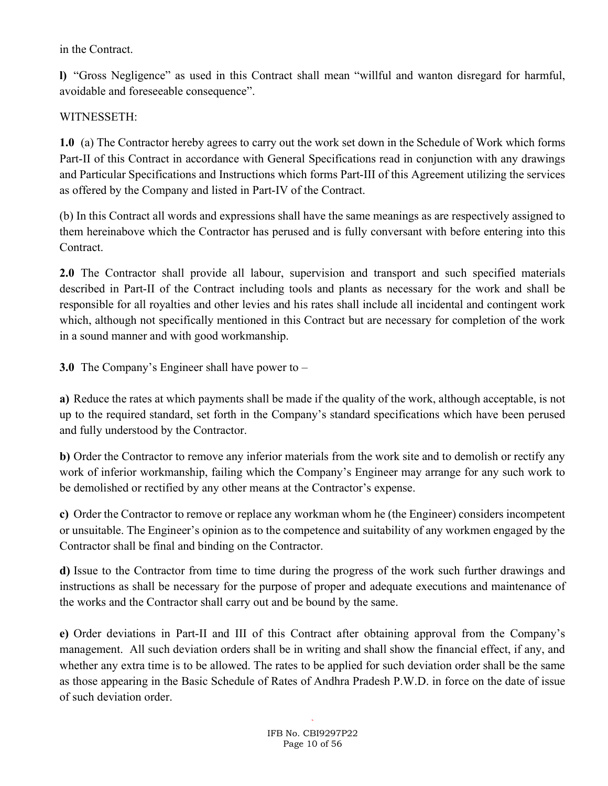in the Contract.

l) "Gross Negligence" as used in this Contract shall mean "willful and wanton disregard for harmful, avoidable and foreseeable consequence".

# WITNESSETH:

1.0 (a) The Contractor hereby agrees to carry out the work set down in the Schedule of Work which forms Part-II of this Contract in accordance with General Specifications read in conjunction with any drawings and Particular Specifications and Instructions which forms Part-III of this Agreement utilizing the services as offered by the Company and listed in Part-IV of the Contract.

(b) In this Contract all words and expressions shall have the same meanings as are respectively assigned to them hereinabove which the Contractor has perused and is fully conversant with before entering into this Contract.

2.0 The Contractor shall provide all labour, supervision and transport and such specified materials described in Part-II of the Contract including tools and plants as necessary for the work and shall be responsible for all royalties and other levies and his rates shall include all incidental and contingent work which, although not specifically mentioned in this Contract but are necessary for completion of the work in a sound manner and with good workmanship.

3.0 The Company's Engineer shall have power to –

a) Reduce the rates at which payments shall be made if the quality of the work, although acceptable, is not up to the required standard, set forth in the Company's standard specifications which have been perused and fully understood by the Contractor.

b) Order the Contractor to remove any inferior materials from the work site and to demolish or rectify any work of inferior workmanship, failing which the Company's Engineer may arrange for any such work to be demolished or rectified by any other means at the Contractor's expense.

c) Order the Contractor to remove or replace any workman whom he (the Engineer) considers incompetent or unsuitable. The Engineer's opinion as to the competence and suitability of any workmen engaged by the Contractor shall be final and binding on the Contractor.

d) Issue to the Contractor from time to time during the progress of the work such further drawings and instructions as shall be necessary for the purpose of proper and adequate executions and maintenance of the works and the Contractor shall carry out and be bound by the same.

e) Order deviations in Part-II and III of this Contract after obtaining approval from the Company's management. All such deviation orders shall be in writing and shall show the financial effect, if any, and whether any extra time is to be allowed. The rates to be applied for such deviation order shall be the same as those appearing in the Basic Schedule of Rates of Andhra Pradesh P.W.D. in force on the date of issue of such deviation order.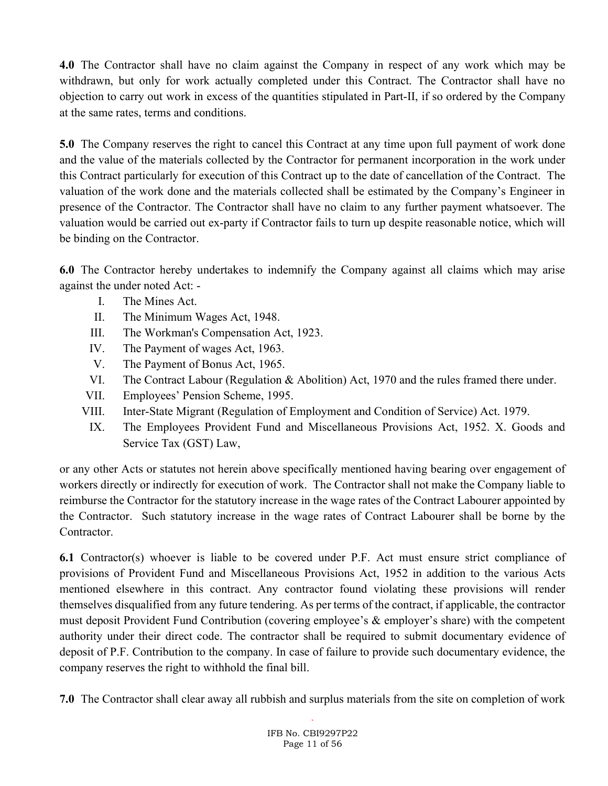4.0 The Contractor shall have no claim against the Company in respect of any work which may be withdrawn, but only for work actually completed under this Contract. The Contractor shall have no objection to carry out work in excess of the quantities stipulated in Part-II, if so ordered by the Company at the same rates, terms and conditions.

5.0 The Company reserves the right to cancel this Contract at any time upon full payment of work done and the value of the materials collected by the Contractor for permanent incorporation in the work under this Contract particularly for execution of this Contract up to the date of cancellation of the Contract. The valuation of the work done and the materials collected shall be estimated by the Company's Engineer in presence of the Contractor. The Contractor shall have no claim to any further payment whatsoever. The valuation would be carried out ex-party if Contractor fails to turn up despite reasonable notice, which will be binding on the Contractor.

6.0 The Contractor hereby undertakes to indemnify the Company against all claims which may arise against the under noted Act: -

- I. The Mines Act.
- II. The Minimum Wages Act, 1948.
- III. The Workman's Compensation Act, 1923.
- IV. The Payment of wages Act, 1963.
- V. The Payment of Bonus Act, 1965.
- VI. The Contract Labour (Regulation & Abolition) Act, 1970 and the rules framed there under.
- VII. Employees' Pension Scheme, 1995.
- VIII. Inter-State Migrant (Regulation of Employment and Condition of Service) Act. 1979.
	- IX. The Employees Provident Fund and Miscellaneous Provisions Act, 1952. X. Goods and Service Tax (GST) Law,

or any other Acts or statutes not herein above specifically mentioned having bearing over engagement of workers directly or indirectly for execution of work. The Contractor shall not make the Company liable to reimburse the Contractor for the statutory increase in the wage rates of the Contract Labourer appointed by the Contractor. Such statutory increase in the wage rates of Contract Labourer shall be borne by the Contractor.

6.1 Contractor(s) whoever is liable to be covered under P.F. Act must ensure strict compliance of provisions of Provident Fund and Miscellaneous Provisions Act, 1952 in addition to the various Acts mentioned elsewhere in this contract. Any contractor found violating these provisions will render themselves disqualified from any future tendering. As per terms of the contract, if applicable, the contractor must deposit Provident Fund Contribution (covering employee's & employer's share) with the competent authority under their direct code. The contractor shall be required to submit documentary evidence of deposit of P.F. Contribution to the company. In case of failure to provide such documentary evidence, the company reserves the right to withhold the final bill.

7.0 The Contractor shall clear away all rubbish and surplus materials from the site on completion of work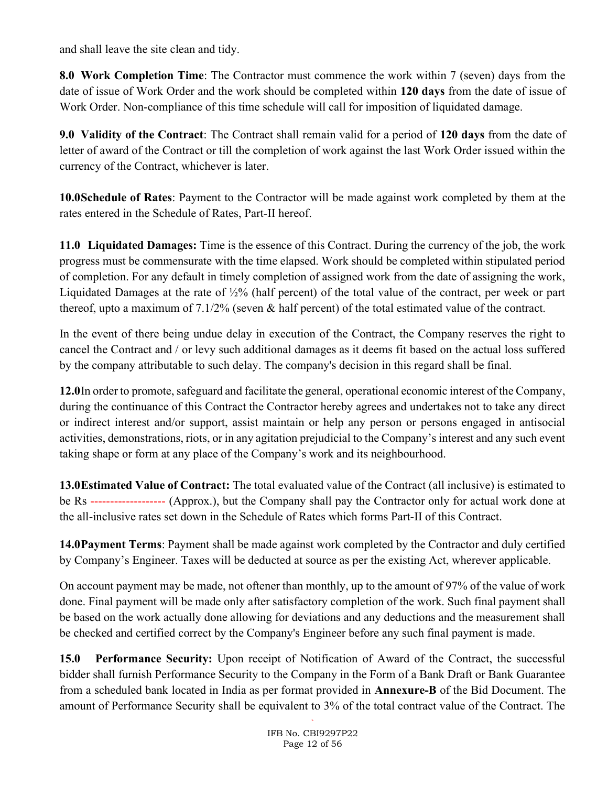and shall leave the site clean and tidy.

8.0 Work Completion Time: The Contractor must commence the work within 7 (seven) days from the date of issue of Work Order and the work should be completed within 120 days from the date of issue of Work Order. Non-compliance of this time schedule will call for imposition of liquidated damage.

9.0 Validity of the Contract: The Contract shall remain valid for a period of 120 days from the date of letter of award of the Contract or till the completion of work against the last Work Order issued within the currency of the Contract, whichever is later.

10.0Schedule of Rates: Payment to the Contractor will be made against work completed by them at the rates entered in the Schedule of Rates, Part-II hereof.

11.0 Liquidated Damages: Time is the essence of this Contract. During the currency of the job, the work progress must be commensurate with the time elapsed. Work should be completed within stipulated period of completion. For any default in timely completion of assigned work from the date of assigning the work, Liquidated Damages at the rate of ½% (half percent) of the total value of the contract, per week or part thereof, upto a maximum of 7.1/2% (seven & half percent) of the total estimated value of the contract.

In the event of there being undue delay in execution of the Contract, the Company reserves the right to cancel the Contract and / or levy such additional damages as it deems fit based on the actual loss suffered by the company attributable to such delay. The company's decision in this regard shall be final.

12.0In order to promote, safeguard and facilitate the general, operational economic interest of the Company, during the continuance of this Contract the Contractor hereby agrees and undertakes not to take any direct or indirect interest and/or support, assist maintain or help any person or persons engaged in antisocial activities, demonstrations, riots, or in any agitation prejudicial to the Company's interest and any such event taking shape or form at any place of the Company's work and its neighbourhood.

13.0Estimated Value of Contract: The total evaluated value of the Contract (all inclusive) is estimated to be Rs ------------------- (Approx.), but the Company shall pay the Contractor only for actual work done at the all-inclusive rates set down in the Schedule of Rates which forms Part-II of this Contract.

14.0Payment Terms: Payment shall be made against work completed by the Contractor and duly certified by Company's Engineer. Taxes will be deducted at source as per the existing Act, wherever applicable.

On account payment may be made, not oftener than monthly, up to the amount of 97% of the value of work done. Final payment will be made only after satisfactory completion of the work. Such final payment shall be based on the work actually done allowing for deviations and any deductions and the measurement shall be checked and certified correct by the Company's Engineer before any such final payment is made.

15.0 Performance Security: Upon receipt of Notification of Award of the Contract, the successful bidder shall furnish Performance Security to the Company in the Form of a Bank Draft or Bank Guarantee from a scheduled bank located in India as per format provided in Annexure-B of the Bid Document. The amount of Performance Security shall be equivalent to 3% of the total contract value of the Contract. The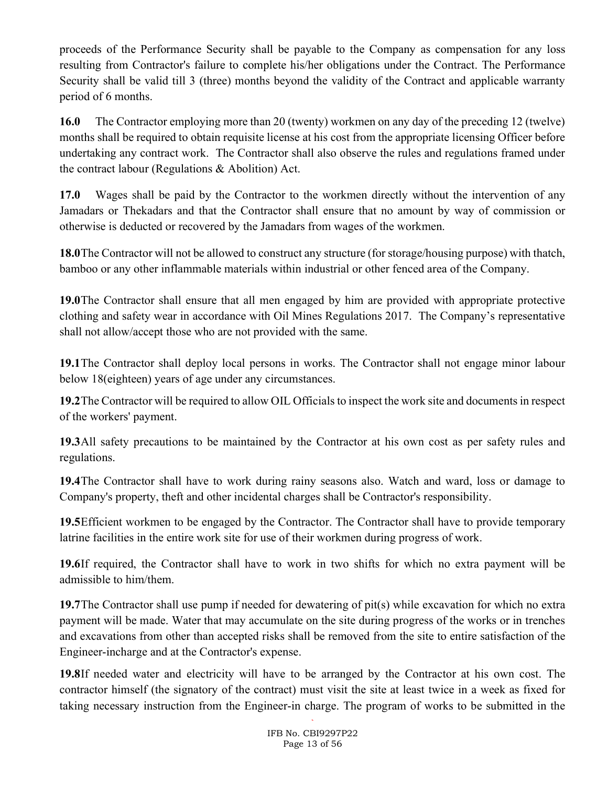proceeds of the Performance Security shall be payable to the Company as compensation for any loss resulting from Contractor's failure to complete his/her obligations under the Contract. The Performance Security shall be valid till 3 (three) months beyond the validity of the Contract and applicable warranty period of 6 months.

16.0 The Contractor employing more than 20 (twenty) workmen on any day of the preceding 12 (twelve) months shall be required to obtain requisite license at his cost from the appropriate licensing Officer before undertaking any contract work. The Contractor shall also observe the rules and regulations framed under the contract labour (Regulations & Abolition) Act.

17.0 Wages shall be paid by the Contractor to the workmen directly without the intervention of any Jamadars or Thekadars and that the Contractor shall ensure that no amount by way of commission or otherwise is deducted or recovered by the Jamadars from wages of the workmen.

18.0The Contractor will not be allowed to construct any structure (for storage/housing purpose) with thatch, bamboo or any other inflammable materials within industrial or other fenced area of the Company.

19.0The Contractor shall ensure that all men engaged by him are provided with appropriate protective clothing and safety wear in accordance with Oil Mines Regulations 2017. The Company's representative shall not allow/accept those who are not provided with the same.

19.1The Contractor shall deploy local persons in works. The Contractor shall not engage minor labour below 18(eighteen) years of age under any circumstances.

19.2The Contractor will be required to allow OIL Officials to inspect the work site and documents in respect of the workers' payment.

19.3All safety precautions to be maintained by the Contractor at his own cost as per safety rules and regulations.

19.4The Contractor shall have to work during rainy seasons also. Watch and ward, loss or damage to Company's property, theft and other incidental charges shall be Contractor's responsibility.

19.5Efficient workmen to be engaged by the Contractor. The Contractor shall have to provide temporary latrine facilities in the entire work site for use of their workmen during progress of work.

19.6If required, the Contractor shall have to work in two shifts for which no extra payment will be admissible to him/them.

19.7The Contractor shall use pump if needed for dewatering of pit(s) while excavation for which no extra payment will be made. Water that may accumulate on the site during progress of the works or in trenches and excavations from other than accepted risks shall be removed from the site to entire satisfaction of the Engineer-incharge and at the Contractor's expense.

19.8If needed water and electricity will have to be arranged by the Contractor at his own cost. The contractor himself (the signatory of the contract) must visit the site at least twice in a week as fixed for taking necessary instruction from the Engineer-in charge. The program of works to be submitted in the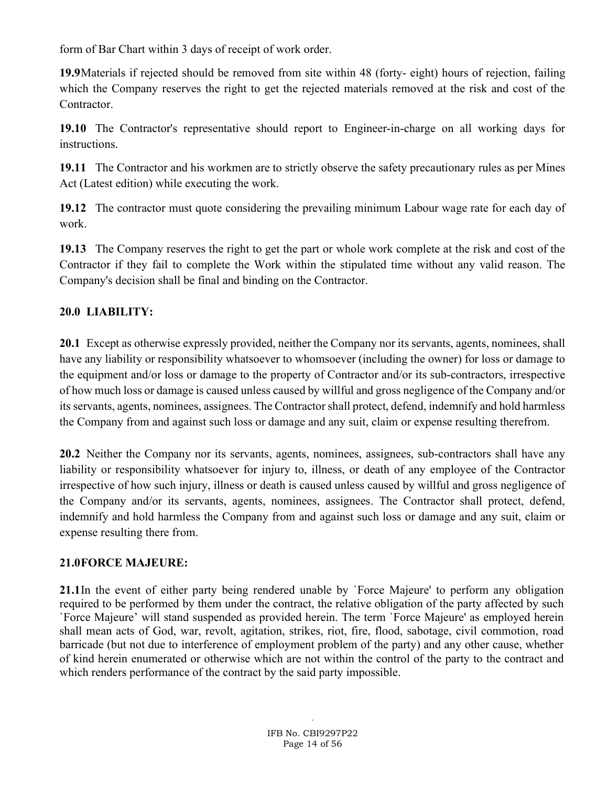form of Bar Chart within 3 days of receipt of work order.

19.9Materials if rejected should be removed from site within 48 (forty- eight) hours of rejection, failing which the Company reserves the right to get the rejected materials removed at the risk and cost of the Contractor.

19.10 The Contractor's representative should report to Engineer-in-charge on all working days for instructions.

19.11 The Contractor and his workmen are to strictly observe the safety precautionary rules as per Mines Act (Latest edition) while executing the work.

19.12 The contractor must quote considering the prevailing minimum Labour wage rate for each day of work.

19.13 The Company reserves the right to get the part or whole work complete at the risk and cost of the Contractor if they fail to complete the Work within the stipulated time without any valid reason. The Company's decision shall be final and binding on the Contractor.

## 20.0 LIABILITY:

20.1 Except as otherwise expressly provided, neither the Company nor its servants, agents, nominees, shall have any liability or responsibility whatsoever to whomsoever (including the owner) for loss or damage to the equipment and/or loss or damage to the property of Contractor and/or its sub-contractors, irrespective of how much loss or damage is caused unless caused by willful and gross negligence of the Company and/or its servants, agents, nominees, assignees. The Contractor shall protect, defend, indemnify and hold harmless the Company from and against such loss or damage and any suit, claim or expense resulting therefrom.

20.2 Neither the Company nor its servants, agents, nominees, assignees, sub-contractors shall have any liability or responsibility whatsoever for injury to, illness, or death of any employee of the Contractor irrespective of how such injury, illness or death is caused unless caused by willful and gross negligence of the Company and/or its servants, agents, nominees, assignees. The Contractor shall protect, defend, indemnify and hold harmless the Company from and against such loss or damage and any suit, claim or expense resulting there from.

## 21.0FORCE MAJEURE:

21.1In the event of either party being rendered unable by `Force Majeure' to perform any obligation required to be performed by them under the contract, the relative obligation of the party affected by such `Force Majeure' will stand suspended as provided herein. The term `Force Majeure' as employed herein shall mean acts of God, war, revolt, agitation, strikes, riot, fire, flood, sabotage, civil commotion, road barricade (but not due to interference of employment problem of the party) and any other cause, whether of kind herein enumerated or otherwise which are not within the control of the party to the contract and which renders performance of the contract by the said party impossible.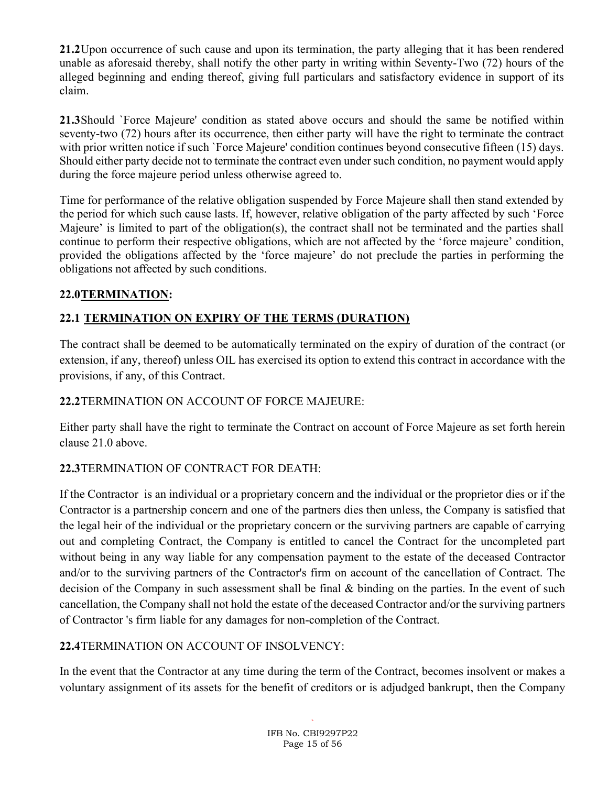21.2Upon occurrence of such cause and upon its termination, the party alleging that it has been rendered unable as aforesaid thereby, shall notify the other party in writing within Seventy-Two (72) hours of the alleged beginning and ending thereof, giving full particulars and satisfactory evidence in support of its claim.

21.3Should `Force Majeure' condition as stated above occurs and should the same be notified within seventy-two (72) hours after its occurrence, then either party will have the right to terminate the contract with prior written notice if such `Force Majeure' condition continues beyond consecutive fifteen (15) days. Should either party decide not to terminate the contract even under such condition, no payment would apply during the force majeure period unless otherwise agreed to.

Time for performance of the relative obligation suspended by Force Majeure shall then stand extended by the period for which such cause lasts. If, however, relative obligation of the party affected by such 'Force Majeure' is limited to part of the obligation(s), the contract shall not be terminated and the parties shall continue to perform their respective obligations, which are not affected by the 'force majeure' condition, provided the obligations affected by the 'force majeure' do not preclude the parties in performing the obligations not affected by such conditions.

## 22.0TERMINATION:

# 22.1 TERMINATION ON EXPIRY OF THE TERMS (DURATION)

The contract shall be deemed to be automatically terminated on the expiry of duration of the contract (or extension, if any, thereof) unless OIL has exercised its option to extend this contract in accordance with the provisions, if any, of this Contract.

## 22.2TERMINATION ON ACCOUNT OF FORCE MAJEURE:

Either party shall have the right to terminate the Contract on account of Force Majeure as set forth herein clause 21.0 above.

## 22.3TERMINATION OF CONTRACT FOR DEATH:

If the Contractor is an individual or a proprietary concern and the individual or the proprietor dies or if the Contractor is a partnership concern and one of the partners dies then unless, the Company is satisfied that the legal heir of the individual or the proprietary concern or the surviving partners are capable of carrying out and completing Contract, the Company is entitled to cancel the Contract for the uncompleted part without being in any way liable for any compensation payment to the estate of the deceased Contractor and/or to the surviving partners of the Contractor's firm on account of the cancellation of Contract. The decision of the Company in such assessment shall be final & binding on the parties. In the event of such cancellation, the Company shall not hold the estate of the deceased Contractor and/or the surviving partners of Contractor 's firm liable for any damages for non-completion of the Contract.

## 22.4TERMINATION ON ACCOUNT OF INSOLVENCY:

In the event that the Contractor at any time during the term of the Contract, becomes insolvent or makes a voluntary assignment of its assets for the benefit of creditors or is adjudged bankrupt, then the Company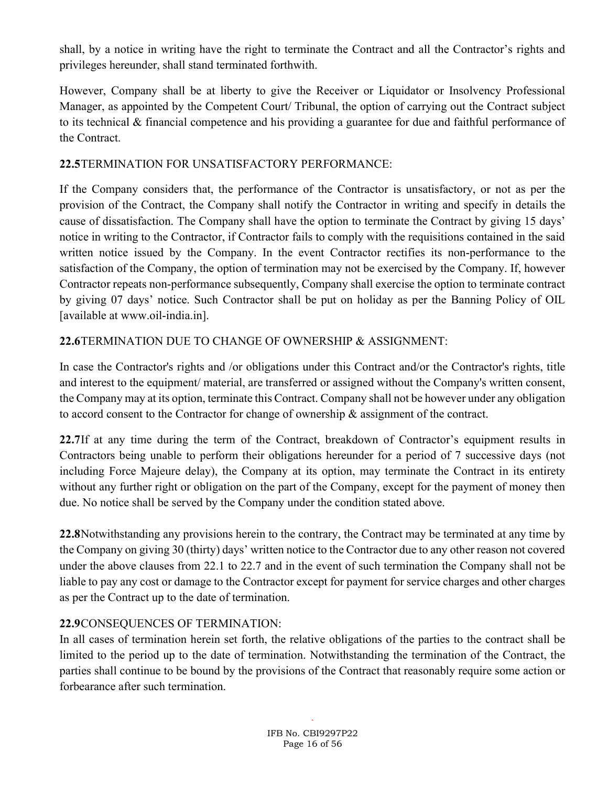shall, by a notice in writing have the right to terminate the Contract and all the Contractor's rights and privileges hereunder, shall stand terminated forthwith.

However, Company shall be at liberty to give the Receiver or Liquidator or Insolvency Professional Manager, as appointed by the Competent Court/ Tribunal, the option of carrying out the Contract subject to its technical & financial competence and his providing a guarantee for due and faithful performance of the Contract.

### 22.5TERMINATION FOR UNSATISFACTORY PERFORMANCE:

If the Company considers that, the performance of the Contractor is unsatisfactory, or not as per the provision of the Contract, the Company shall notify the Contractor in writing and specify in details the cause of dissatisfaction. The Company shall have the option to terminate the Contract by giving 15 days' notice in writing to the Contractor, if Contractor fails to comply with the requisitions contained in the said written notice issued by the Company. In the event Contractor rectifies its non-performance to the satisfaction of the Company, the option of termination may not be exercised by the Company. If, however Contractor repeats non-performance subsequently, Company shall exercise the option to terminate contract by giving 07 days' notice. Such Contractor shall be put on holiday as per the Banning Policy of OIL [available at www.oil-india.in].

## 22.6TERMINATION DUE TO CHANGE OF OWNERSHIP & ASSIGNMENT:

In case the Contractor's rights and /or obligations under this Contract and/or the Contractor's rights, title and interest to the equipment/ material, are transferred or assigned without the Company's written consent, the Company may at its option, terminate this Contract. Company shall not be however under any obligation to accord consent to the Contractor for change of ownership & assignment of the contract.

22.7If at any time during the term of the Contract, breakdown of Contractor's equipment results in Contractors being unable to perform their obligations hereunder for a period of 7 successive days (not including Force Majeure delay), the Company at its option, may terminate the Contract in its entirety without any further right or obligation on the part of the Company, except for the payment of money then due. No notice shall be served by the Company under the condition stated above.

22.8Notwithstanding any provisions herein to the contrary, the Contract may be terminated at any time by the Company on giving 30 (thirty) days' written notice to the Contractor due to any other reason not covered under the above clauses from 22.1 to 22.7 and in the event of such termination the Company shall not be liable to pay any cost or damage to the Contractor except for payment for service charges and other charges as per the Contract up to the date of termination.

## 22.9CONSEQUENCES OF TERMINATION:

In all cases of termination herein set forth, the relative obligations of the parties to the contract shall be limited to the period up to the date of termination. Notwithstanding the termination of the Contract, the parties shall continue to be bound by the provisions of the Contract that reasonably require some action or forbearance after such termination.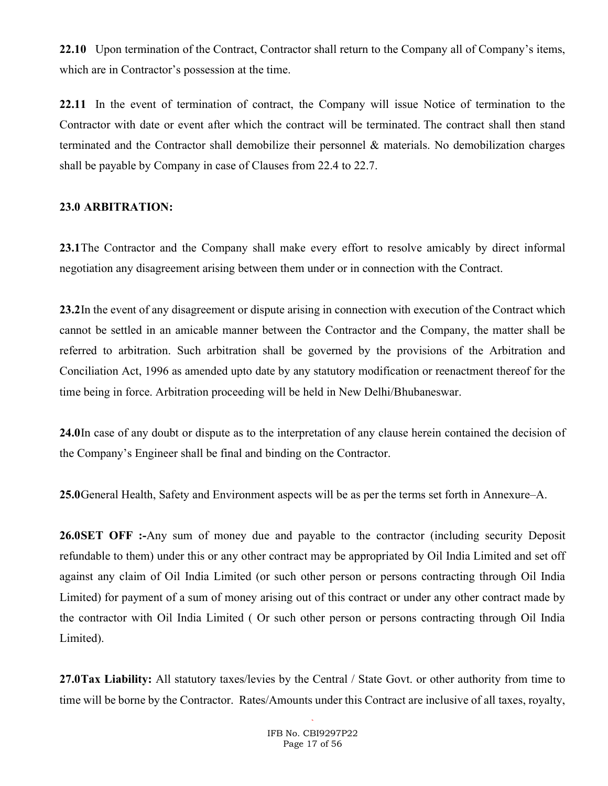22.10 Upon termination of the Contract, Contractor shall return to the Company all of Company's items, which are in Contractor's possession at the time.

22.11 In the event of termination of contract, the Company will issue Notice of termination to the Contractor with date or event after which the contract will be terminated. The contract shall then stand terminated and the Contractor shall demobilize their personnel & materials. No demobilization charges shall be payable by Company in case of Clauses from 22.4 to 22.7.

#### 23.0 ARBITRATION:

23.1The Contractor and the Company shall make every effort to resolve amicably by direct informal negotiation any disagreement arising between them under or in connection with the Contract.

23.2In the event of any disagreement or dispute arising in connection with execution of the Contract which cannot be settled in an amicable manner between the Contractor and the Company, the matter shall be referred to arbitration. Such arbitration shall be governed by the provisions of the Arbitration and Conciliation Act, 1996 as amended upto date by any statutory modification or reenactment thereof for the time being in force. Arbitration proceeding will be held in New Delhi/Bhubaneswar.

24.0In case of any doubt or dispute as to the interpretation of any clause herein contained the decision of the Company's Engineer shall be final and binding on the Contractor.

25.0General Health, Safety and Environment aspects will be as per the terms set forth in Annexure–A.

26.0SET OFF :-Any sum of money due and payable to the contractor (including security Deposit refundable to them) under this or any other contract may be appropriated by Oil India Limited and set off against any claim of Oil India Limited (or such other person or persons contracting through Oil India Limited) for payment of a sum of money arising out of this contract or under any other contract made by the contractor with Oil India Limited ( Or such other person or persons contracting through Oil India Limited).

27.0Tax Liability: All statutory taxes/levies by the Central / State Govt. or other authority from time to time will be borne by the Contractor. Rates/Amounts under this Contract are inclusive of all taxes, royalty,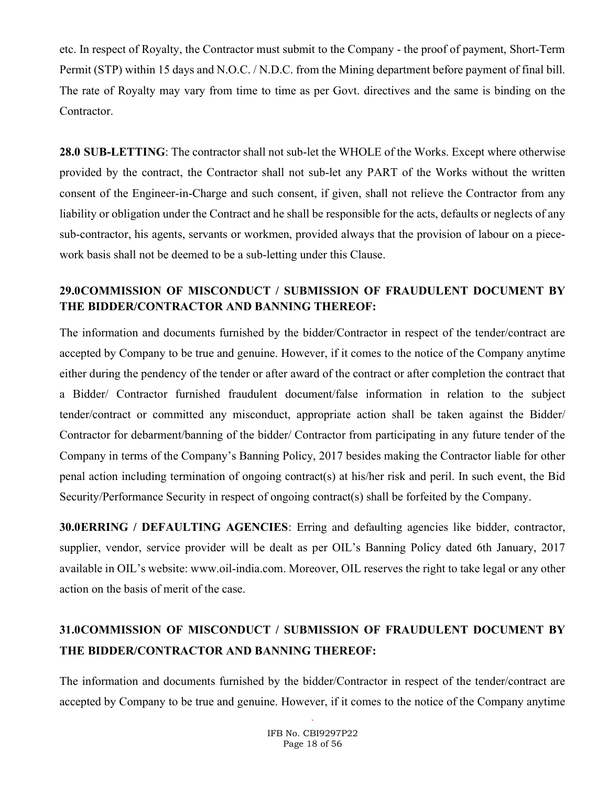etc. In respect of Royalty, the Contractor must submit to the Company - the proof of payment, Short-Term Permit (STP) within 15 days and N.O.C. / N.D.C. from the Mining department before payment of final bill. The rate of Royalty may vary from time to time as per Govt. directives and the same is binding on the Contractor.

28.0 SUB-LETTING: The contractor shall not sub-let the WHOLE of the Works. Except where otherwise provided by the contract, the Contractor shall not sub-let any PART of the Works without the written consent of the Engineer-in-Charge and such consent, if given, shall not relieve the Contractor from any liability or obligation under the Contract and he shall be responsible for the acts, defaults or neglects of any sub-contractor, his agents, servants or workmen, provided always that the provision of labour on a piecework basis shall not be deemed to be a sub-letting under this Clause.

## 29.0COMMISSION OF MISCONDUCT / SUBMISSION OF FRAUDULENT DOCUMENT BY THE BIDDER/CONTRACTOR AND BANNING THEREOF:

The information and documents furnished by the bidder/Contractor in respect of the tender/contract are accepted by Company to be true and genuine. However, if it comes to the notice of the Company anytime either during the pendency of the tender or after award of the contract or after completion the contract that a Bidder/ Contractor furnished fraudulent document/false information in relation to the subject tender/contract or committed any misconduct, appropriate action shall be taken against the Bidder/ Contractor for debarment/banning of the bidder/ Contractor from participating in any future tender of the Company in terms of the Company's Banning Policy, 2017 besides making the Contractor liable for other penal action including termination of ongoing contract(s) at his/her risk and peril. In such event, the Bid Security/Performance Security in respect of ongoing contract(s) shall be forfeited by the Company.

30.0ERRING / DEFAULTING AGENCIES: Erring and defaulting agencies like bidder, contractor, supplier, vendor, service provider will be dealt as per OIL's Banning Policy dated 6th January, 2017 available in OIL's website: www.oil-india.com. Moreover, OIL reserves the right to take legal or any other action on the basis of merit of the case.

# 31.0COMMISSION OF MISCONDUCT / SUBMISSION OF FRAUDULENT DOCUMENT BY THE BIDDER/CONTRACTOR AND BANNING THEREOF:

The information and documents furnished by the bidder/Contractor in respect of the tender/contract are accepted by Company to be true and genuine. However, if it comes to the notice of the Company anytime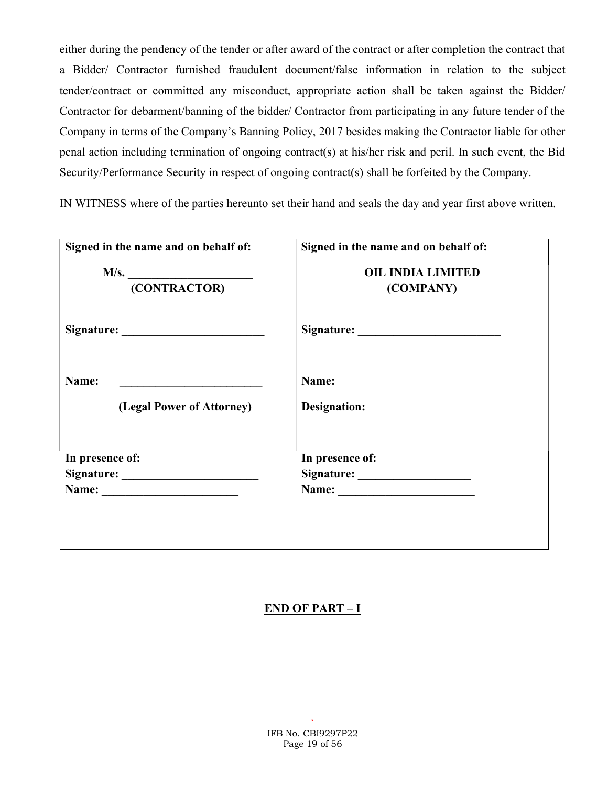either during the pendency of the tender or after award of the contract or after completion the contract that a Bidder/ Contractor furnished fraudulent document/false information in relation to the subject tender/contract or committed any misconduct, appropriate action shall be taken against the Bidder/ Contractor for debarment/banning of the bidder/ Contractor from participating in any future tender of the Company in terms of the Company's Banning Policy, 2017 besides making the Contractor liable for other penal action including termination of ongoing contract(s) at his/her risk and peril. In such event, the Bid Security/Performance Security in respect of ongoing contract(s) shall be forfeited by the Company.

IN WITNESS where of the parties hereunto set their hand and seals the day and year first above written.

| Signed in the name and on behalf of: | Signed in the name and on behalf of: |
|--------------------------------------|--------------------------------------|
| M/s.                                 | <b>OIL INDIA LIMITED</b>             |
| (CONTRACTOR)                         | (COMPANY)                            |
|                                      |                                      |
| Name:                                | Name:                                |
| (Legal Power of Attorney)            | Designation:                         |
| In presence of:                      | In presence of:                      |
|                                      |                                      |
|                                      |                                      |

### END OF PART – I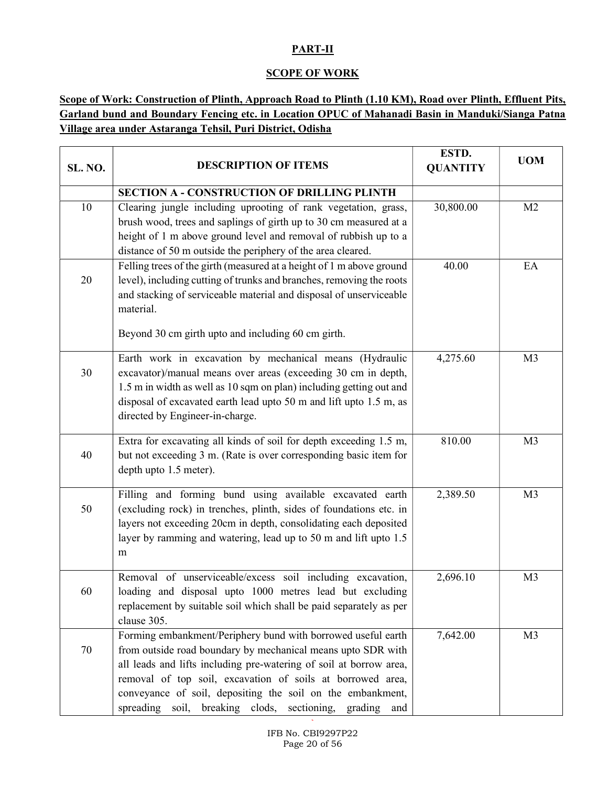### PART-II

### **SCOPE OF WORK**

### Scope of Work: Construction of Plinth, Approach Road to Plinth (1.10 KM), Road over Plinth, Effluent Pits, Garland bund and Boundary Fencing etc. in Location OPUC of Mahanadi Basin in Manduki/Sianga Patna Village area under Astaranga Tehsil, Puri District, Odisha

| SL. NO. | <b>DESCRIPTION OF ITEMS</b>                                                                                                                                                                                                                                                                                                                                                               | ESTD.<br><b>QUANTITY</b> | <b>UOM</b>     |
|---------|-------------------------------------------------------------------------------------------------------------------------------------------------------------------------------------------------------------------------------------------------------------------------------------------------------------------------------------------------------------------------------------------|--------------------------|----------------|
|         | <b>SECTION A - CONSTRUCTION OF DRILLING PLINTH</b>                                                                                                                                                                                                                                                                                                                                        |                          |                |
| 10      | Clearing jungle including uprooting of rank vegetation, grass,<br>brush wood, trees and saplings of girth up to 30 cm measured at a<br>height of 1 m above ground level and removal of rubbish up to a<br>distance of 50 m outside the periphery of the area cleared.                                                                                                                     | 30,800.00                | M <sub>2</sub> |
| 20      | Felling trees of the girth (measured at a height of 1 m above ground<br>level), including cutting of trunks and branches, removing the roots<br>and stacking of serviceable material and disposal of unserviceable<br>material.<br>Beyond 30 cm girth upto and including 60 cm girth.                                                                                                     | 40.00                    | EA             |
| 30      | Earth work in excavation by mechanical means (Hydraulic<br>excavator)/manual means over areas (exceeding 30 cm in depth,<br>1.5 m in width as well as 10 sqm on plan) including getting out and<br>disposal of excavated earth lead upto 50 m and lift upto 1.5 m, as<br>directed by Engineer-in-charge.                                                                                  | 4,275.60                 | M <sub>3</sub> |
| 40      | Extra for excavating all kinds of soil for depth exceeding 1.5 m,<br>but not exceeding 3 m. (Rate is over corresponding basic item for<br>depth upto 1.5 meter).                                                                                                                                                                                                                          | 810.00                   | M <sub>3</sub> |
| 50      | Filling and forming bund using available excavated earth<br>(excluding rock) in trenches, plinth, sides of foundations etc. in<br>layers not exceeding 20cm in depth, consolidating each deposited<br>layer by ramming and watering, lead up to 50 m and lift upto 1.5<br>m                                                                                                               | 2,389.50                 | M <sub>3</sub> |
| 60      | Removal of unserviceable/excess soil including excavation,<br>loading and disposal upto 1000 metres lead but excluding<br>replacement by suitable soil which shall be paid separately as per<br>clause 305.                                                                                                                                                                               | 2,696.10                 | M <sub>3</sub> |
| 70      | Forming embankment/Periphery bund with borrowed useful earth<br>from outside road boundary by mechanical means upto SDR with<br>all leads and lifts including pre-watering of soil at borrow area,<br>removal of top soil, excavation of soils at borrowed area,<br>conveyance of soil, depositing the soil on the embankment,<br>spreading soil, breaking clods, sectioning, grading and | 7,642.00                 | M <sub>3</sub> |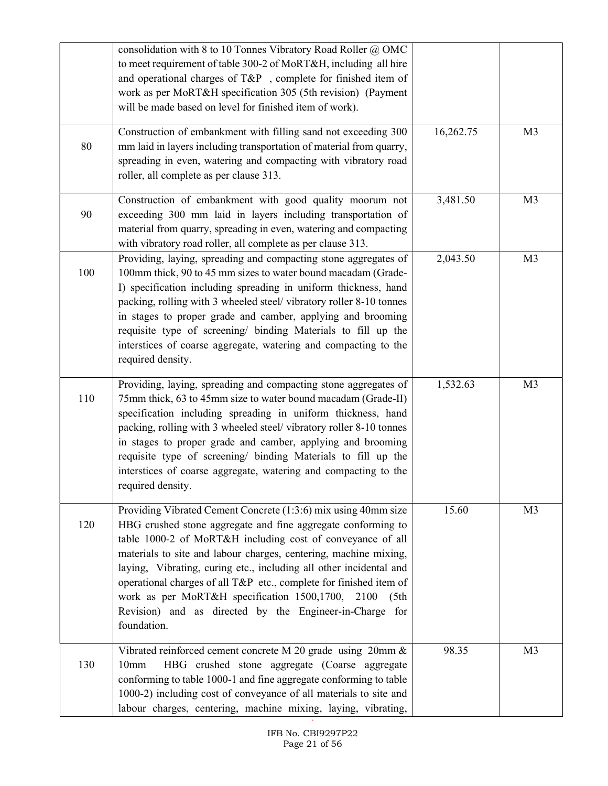|     | consolidation with 8 to 10 Tonnes Vibratory Road Roller @ OMC<br>to meet requirement of table 300-2 of MoRT&H, including all hire<br>and operational charges of T&P , complete for finished item of<br>work as per MoRT&H specification 305 (5th revision) (Payment<br>will be made based on level for finished item of work).                                                                                                                                                                                                                         |           |                |
|-----|--------------------------------------------------------------------------------------------------------------------------------------------------------------------------------------------------------------------------------------------------------------------------------------------------------------------------------------------------------------------------------------------------------------------------------------------------------------------------------------------------------------------------------------------------------|-----------|----------------|
| 80  | Construction of embankment with filling sand not exceeding 300<br>mm laid in layers including transportation of material from quarry,<br>spreading in even, watering and compacting with vibratory road<br>roller, all complete as per clause 313.                                                                                                                                                                                                                                                                                                     | 16,262.75 | M <sub>3</sub> |
| 90  | Construction of embankment with good quality moorum not<br>exceeding 300 mm laid in layers including transportation of<br>material from quarry, spreading in even, watering and compacting<br>with vibratory road roller, all complete as per clause 313.                                                                                                                                                                                                                                                                                              | 3,481.50  | M <sub>3</sub> |
| 100 | Providing, laying, spreading and compacting stone aggregates of<br>100mm thick, 90 to 45 mm sizes to water bound macadam (Grade-<br>I) specification including spreading in uniform thickness, hand<br>packing, rolling with 3 wheeled steel/ vibratory roller 8-10 tonnes<br>in stages to proper grade and camber, applying and brooming<br>requisite type of screening/ binding Materials to fill up the<br>interstices of coarse aggregate, watering and compacting to the<br>required density.                                                     | 2,043.50  | M <sub>3</sub> |
| 110 | Providing, laying, spreading and compacting stone aggregates of<br>75mm thick, 63 to 45mm size to water bound macadam (Grade-II)<br>specification including spreading in uniform thickness, hand<br>packing, rolling with 3 wheeled steel/ vibratory roller 8-10 tonnes<br>in stages to proper grade and camber, applying and brooming<br>requisite type of screening/ binding Materials to fill up the<br>interstices of coarse aggregate, watering and compacting to the<br>required density.                                                        | 1,532.63  | M <sub>3</sub> |
| 120 | Providing Vibrated Cement Concrete (1:3:6) mix using 40mm size<br>HBG crushed stone aggregate and fine aggregate conforming to<br>table 1000-2 of MoRT&H including cost of conveyance of all<br>materials to site and labour charges, centering, machine mixing,<br>laying, Vibrating, curing etc., including all other incidental and<br>operational charges of all T&P etc., complete for finished item of<br>work as per MoRT&H specification 1500,1700,<br>2100<br>(5th)<br>Revision) and as directed by the Engineer-in-Charge for<br>foundation. | 15.60     | M <sub>3</sub> |
| 130 | Vibrated reinforced cement concrete M 20 grade using 20mm &<br>HBG crushed stone aggregate (Coarse aggregate<br>10 <sub>mm</sub><br>conforming to table 1000-1 and fine aggregate conforming to table<br>1000-2) including cost of conveyance of all materials to site and<br>labour charges, centering, machine mixing, laying, vibrating,                                                                                                                                                                                                            | 98.35     | M <sub>3</sub> |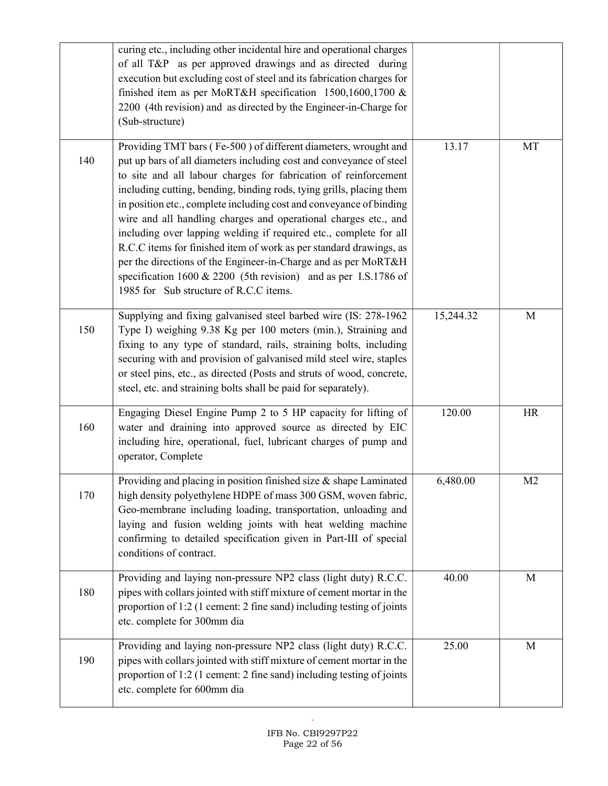|     | curing etc., including other incidental hire and operational charges<br>of all T&P as per approved drawings and as directed during<br>execution but excluding cost of steel and its fabrication charges for<br>finished item as per MoRT&H specification 1500,1600,1700 &<br>2200 (4th revision) and as directed by the Engineer-in-Charge for<br>(Sub-structure)                                                                                                                                                                                                                                                                                                                                                                                     |           |                |
|-----|-------------------------------------------------------------------------------------------------------------------------------------------------------------------------------------------------------------------------------------------------------------------------------------------------------------------------------------------------------------------------------------------------------------------------------------------------------------------------------------------------------------------------------------------------------------------------------------------------------------------------------------------------------------------------------------------------------------------------------------------------------|-----------|----------------|
| 140 | Providing TMT bars (Fe-500) of different diameters, wrought and<br>put up bars of all diameters including cost and conveyance of steel<br>to site and all labour charges for fabrication of reinforcement<br>including cutting, bending, binding rods, tying grills, placing them<br>in position etc., complete including cost and conveyance of binding<br>wire and all handling charges and operational charges etc., and<br>including over lapping welding if required etc., complete for all<br>R.C.C items for finished item of work as per standard drawings, as<br>per the directions of the Engineer-in-Charge and as per MoRT&H<br>specification 1600 & 2200 (5th revision) and as per I.S.1786 of<br>1985 for Sub structure of R.C.C items. | 13.17     | MT             |
| 150 | Supplying and fixing galvanised steel barbed wire (IS: 278-1962<br>Type I) weighing 9.38 Kg per 100 meters (min.), Straining and<br>fixing to any type of standard, rails, straining bolts, including<br>securing with and provision of galvanised mild steel wire, staples<br>or steel pins, etc., as directed (Posts and struts of wood, concrete,<br>steel, etc. and straining bolts shall be paid for separately).                                                                                                                                                                                                                                                                                                                                | 15,244.32 | M              |
| 160 | Engaging Diesel Engine Pump 2 to 5 HP capacity for lifting of<br>water and draining into approved source as directed by EIC<br>including hire, operational, fuel, lubricant charges of pump and<br>operator, Complete                                                                                                                                                                                                                                                                                                                                                                                                                                                                                                                                 | 120.00    | HR             |
| 170 | Providing and placing in position finished size & shape Laminated<br>high density polyethylene HDPE of mass 300 GSM, woven fabric,<br>Geo-membrane including loading, transportation, unloading and<br>laying and fusion welding joints with heat welding machine<br>confirming to detailed specification given in Part-III of special<br>conditions of contract.                                                                                                                                                                                                                                                                                                                                                                                     | 6,480.00  | M <sub>2</sub> |
| 180 | Providing and laying non-pressure NP2 class (light duty) R.C.C.<br>pipes with collars jointed with stiff mixture of cement mortar in the<br>proportion of 1:2 (1 cement: 2 fine sand) including testing of joints<br>etc. complete for 300mm dia                                                                                                                                                                                                                                                                                                                                                                                                                                                                                                      | 40.00     | M              |
| 190 | Providing and laying non-pressure NP2 class (light duty) R.C.C.<br>pipes with collars jointed with stiff mixture of cement mortar in the<br>proportion of 1:2 (1 cement: 2 fine sand) including testing of joints<br>etc. complete for 600mm dia                                                                                                                                                                                                                                                                                                                                                                                                                                                                                                      | 25.00     | M              |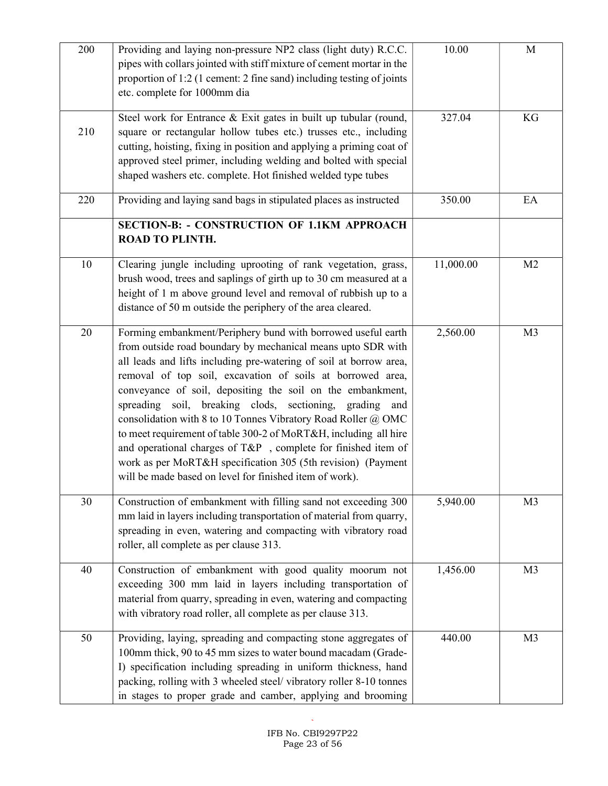| 200 | Providing and laying non-pressure NP2 class (light duty) R.C.C.<br>pipes with collars jointed with stiff mixture of cement mortar in the<br>proportion of 1:2 (1 cement: 2 fine sand) including testing of joints<br>etc. complete for 1000mm dia                                                                                                                                                                                                                                                                                                                                                                                                                                                                          | 10.00     | M              |
|-----|----------------------------------------------------------------------------------------------------------------------------------------------------------------------------------------------------------------------------------------------------------------------------------------------------------------------------------------------------------------------------------------------------------------------------------------------------------------------------------------------------------------------------------------------------------------------------------------------------------------------------------------------------------------------------------------------------------------------------|-----------|----------------|
| 210 | Steel work for Entrance & Exit gates in built up tubular (round,<br>square or rectangular hollow tubes etc.) trusses etc., including<br>cutting, hoisting, fixing in position and applying a priming coat of<br>approved steel primer, including welding and bolted with special<br>shaped washers etc. complete. Hot finished welded type tubes                                                                                                                                                                                                                                                                                                                                                                           | 327.04    | KG             |
| 220 | Providing and laying sand bags in stipulated places as instructed                                                                                                                                                                                                                                                                                                                                                                                                                                                                                                                                                                                                                                                          | 350.00    | EA             |
|     | SECTION-B: - CONSTRUCTION OF 1.1KM APPROACH<br><b>ROAD TO PLINTH.</b>                                                                                                                                                                                                                                                                                                                                                                                                                                                                                                                                                                                                                                                      |           |                |
| 10  | Clearing jungle including uprooting of rank vegetation, grass,<br>brush wood, trees and saplings of girth up to 30 cm measured at a<br>height of 1 m above ground level and removal of rubbish up to a<br>distance of 50 m outside the periphery of the area cleared.                                                                                                                                                                                                                                                                                                                                                                                                                                                      | 11,000.00 | M <sub>2</sub> |
| 20  | Forming embankment/Periphery bund with borrowed useful earth<br>from outside road boundary by mechanical means upto SDR with<br>all leads and lifts including pre-watering of soil at borrow area,<br>removal of top soil, excavation of soils at borrowed area,<br>conveyance of soil, depositing the soil on the embankment,<br>spreading soil, breaking clods, sectioning, grading and<br>consolidation with 8 to 10 Tonnes Vibratory Road Roller @ OMC<br>to meet requirement of table 300-2 of MoRT&H, including all hire<br>and operational charges of T&P, complete for finished item of<br>work as per MoRT&H specification 305 (5th revision) (Payment<br>will be made based on level for finished item of work). | 2,560.00  | M <sub>3</sub> |
| 30  | Construction of embankment with filling sand not exceeding 300<br>mm laid in layers including transportation of material from quarry,<br>spreading in even, watering and compacting with vibratory road<br>roller, all complete as per clause 313.                                                                                                                                                                                                                                                                                                                                                                                                                                                                         | 5,940.00  | M <sub>3</sub> |
| 40  | Construction of embankment with good quality moorum not<br>exceeding 300 mm laid in layers including transportation of<br>material from quarry, spreading in even, watering and compacting<br>with vibratory road roller, all complete as per clause 313.                                                                                                                                                                                                                                                                                                                                                                                                                                                                  | 1,456.00  | M <sub>3</sub> |
| 50  | Providing, laying, spreading and compacting stone aggregates of<br>100mm thick, 90 to 45 mm sizes to water bound macadam (Grade-<br>I) specification including spreading in uniform thickness, hand<br>packing, rolling with 3 wheeled steel/ vibratory roller 8-10 tonnes<br>in stages to proper grade and camber, applying and brooming                                                                                                                                                                                                                                                                                                                                                                                  | 440.00    | M <sub>3</sub> |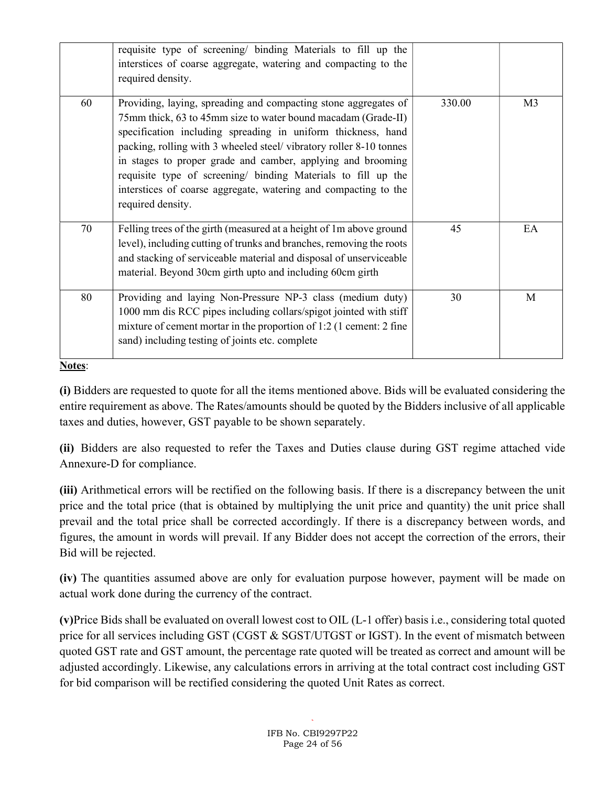|    | requisite type of screening/ binding Materials to fill up the<br>interstices of coarse aggregate, watering and compacting to the<br>required density.                                                                                                                                                                                                                                                                                                                                           |        |                |
|----|-------------------------------------------------------------------------------------------------------------------------------------------------------------------------------------------------------------------------------------------------------------------------------------------------------------------------------------------------------------------------------------------------------------------------------------------------------------------------------------------------|--------|----------------|
| 60 | Providing, laying, spreading and compacting stone aggregates of<br>75mm thick, 63 to 45mm size to water bound macadam (Grade-II)<br>specification including spreading in uniform thickness, hand<br>packing, rolling with 3 wheeled steel/ vibratory roller 8-10 tonnes<br>in stages to proper grade and camber, applying and brooming<br>requisite type of screening/ binding Materials to fill up the<br>interstices of coarse aggregate, watering and compacting to the<br>required density. | 330.00 | M <sub>3</sub> |
| 70 | Felling trees of the girth (measured at a height of 1m above ground<br>level), including cutting of trunks and branches, removing the roots<br>and stacking of serviceable material and disposal of unserviceable<br>material. Beyond 30cm girth upto and including 60cm girth                                                                                                                                                                                                                  | 45     | EA             |
| 80 | Providing and laying Non-Pressure NP-3 class (medium duty)<br>1000 mm dis RCC pipes including collars/spigot jointed with stiff<br>mixture of cement mortar in the proportion of 1:2 (1 cement: 2 fine<br>sand) including testing of joints etc. complete                                                                                                                                                                                                                                       | 30     | M              |

#### Notes:

(i) Bidders are requested to quote for all the items mentioned above. Bids will be evaluated considering the entire requirement as above. The Rates/amounts should be quoted by the Bidders inclusive of all applicable taxes and duties, however, GST payable to be shown separately.

(ii) Bidders are also requested to refer the Taxes and Duties clause during GST regime attached vide Annexure-D for compliance.

(iii) Arithmetical errors will be rectified on the following basis. If there is a discrepancy between the unit price and the total price (that is obtained by multiplying the unit price and quantity) the unit price shall prevail and the total price shall be corrected accordingly. If there is a discrepancy between words, and figures, the amount in words will prevail. If any Bidder does not accept the correction of the errors, their Bid will be rejected.

(iv) The quantities assumed above are only for evaluation purpose however, payment will be made on actual work done during the currency of the contract.

(v)Price Bids shall be evaluated on overall lowest cost to OIL (L-1 offer) basis i.e., considering total quoted price for all services including GST (CGST & SGST/UTGST or IGST). In the event of mismatch between quoted GST rate and GST amount, the percentage rate quoted will be treated as correct and amount will be adjusted accordingly. Likewise, any calculations errors in arriving at the total contract cost including GST for bid comparison will be rectified considering the quoted Unit Rates as correct.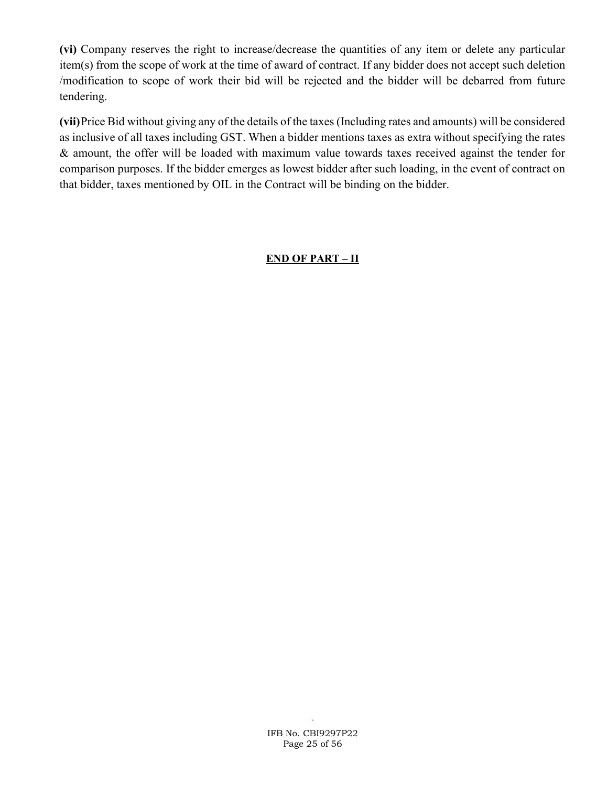(vi) Company reserves the right to increase/decrease the quantities of any item or delete any particular item(s) from the scope of work at the time of award of contract. If any bidder does not accept such deletion /modification to scope of work their bid will be rejected and the bidder will be debarred from future tendering.

(vii)Price Bid without giving any of the details of the taxes (Including rates and amounts) will be considered as inclusive of all taxes including GST. When a bidder mentions taxes as extra without specifying the rates & amount, the offer will be loaded with maximum value towards taxes received against the tender for comparison purposes. If the bidder emerges as lowest bidder after such loading, in the event of contract on that bidder, taxes mentioned by OIL in the Contract will be binding on the bidder.

### END OF PART – II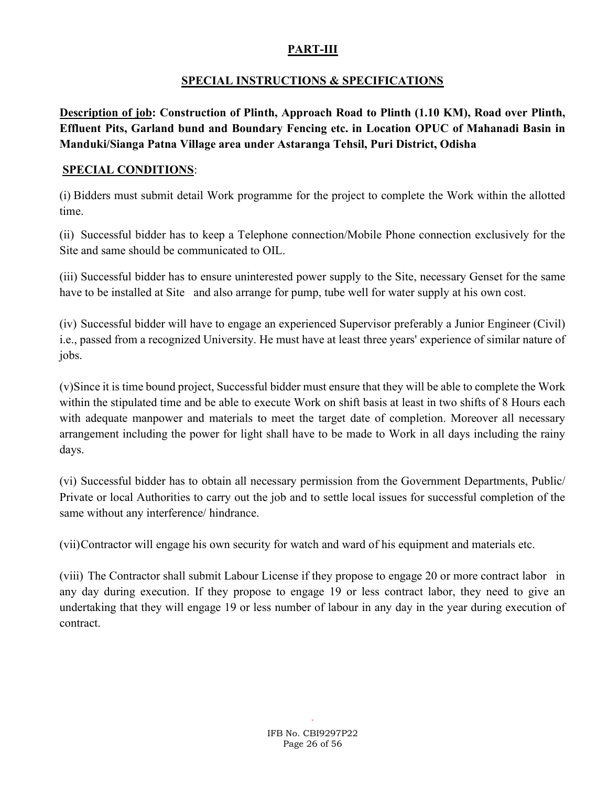### PART-III

### SPECIAL INSTRUCTIONS & SPECIFICATIONS

Description of job: Construction of Plinth, Approach Road to Plinth (1.10 KM), Road over Plinth, Effluent Pits, Garland bund and Boundary Fencing etc. in Location OPUC of Mahanadi Basin in Manduki/Sianga Patna Village area under Astaranga Tehsil, Puri District, Odisha

### SPECIAL CONDITIONS:

(i) Bidders must submit detail Work programme for the project to complete the Work within the allotted time.

(ii) Successful bidder has to keep a Telephone connection/Mobile Phone connection exclusively for the Site and same should be communicated to OIL.

(iii) Successful bidder has to ensure uninterested power supply to the Site, necessary Genset for the same have to be installed at Site and also arrange for pump, tube well for water supply at his own cost.

(iv) Successful bidder will have to engage an experienced Supervisor preferably a Junior Engineer (Civil) i.e., passed from a recognized University. He must have at least three years' experience of similar nature of jobs.

(v)Since it is time bound project, Successful bidder must ensure that they will be able to complete the Work within the stipulated time and be able to execute Work on shift basis at least in two shifts of 8 Hours each with adequate manpower and materials to meet the target date of completion. Moreover all necessary arrangement including the power for light shall have to be made to Work in all days including the rainy days.

(vi) Successful bidder has to obtain all necessary permission from the Government Departments, Public/ Private or local Authorities to carry out the job and to settle local issues for successful completion of the same without any interference/ hindrance.

(vii)Contractor will engage his own security for watch and ward of his equipment and materials etc.

(viii) The Contractor shall submit Labour License if they propose to engage 20 or more contract labor in any day during execution. If they propose to engage 19 or less contract labor, they need to give an undertaking that they will engage 19 or less number of labour in any day in the year during execution of contract.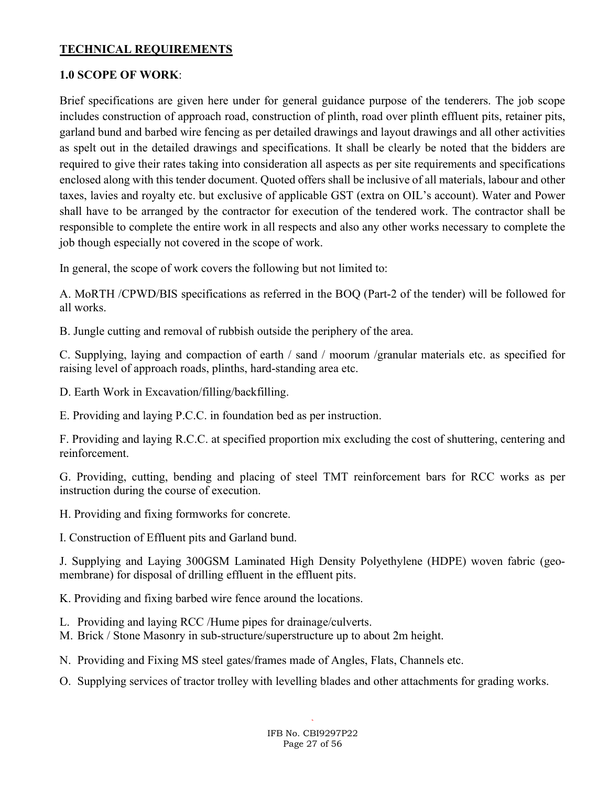#### TECHNICAL REQUIREMENTS

#### 1.0 SCOPE OF WORK:

Brief specifications are given here under for general guidance purpose of the tenderers. The job scope includes construction of approach road, construction of plinth, road over plinth effluent pits, retainer pits, garland bund and barbed wire fencing as per detailed drawings and layout drawings and all other activities as spelt out in the detailed drawings and specifications. It shall be clearly be noted that the bidders are required to give their rates taking into consideration all aspects as per site requirements and specifications enclosed along with this tender document. Quoted offers shall be inclusive of all materials, labour and other taxes, lavies and royalty etc. but exclusive of applicable GST (extra on OIL's account). Water and Power shall have to be arranged by the contractor for execution of the tendered work. The contractor shall be responsible to complete the entire work in all respects and also any other works necessary to complete the job though especially not covered in the scope of work.

In general, the scope of work covers the following but not limited to:

A. MoRTH /CPWD/BIS specifications as referred in the BOQ (Part-2 of the tender) will be followed for all works.

B. Jungle cutting and removal of rubbish outside the periphery of the area.

C. Supplying, laying and compaction of earth / sand / moorum /granular materials etc. as specified for raising level of approach roads, plinths, hard-standing area etc.

D. Earth Work in Excavation/filling/backfilling.

E. Providing and laying P.C.C. in foundation bed as per instruction.

F. Providing and laying R.C.C. at specified proportion mix excluding the cost of shuttering, centering and reinforcement.

G. Providing, cutting, bending and placing of steel TMT reinforcement bars for RCC works as per instruction during the course of execution.

H. Providing and fixing formworks for concrete.

I. Construction of Effluent pits and Garland bund.

J. Supplying and Laying 300GSM Laminated High Density Polyethylene (HDPE) woven fabric (geomembrane) for disposal of drilling effluent in the effluent pits.

K. Providing and fixing barbed wire fence around the locations.

- L. Providing and laying RCC /Hume pipes for drainage/culverts.
- M. Brick / Stone Masonry in sub-structure/superstructure up to about 2m height.
- N. Providing and Fixing MS steel gates/frames made of Angles, Flats, Channels etc.
- O. Supplying services of tractor trolley with levelling blades and other attachments for grading works.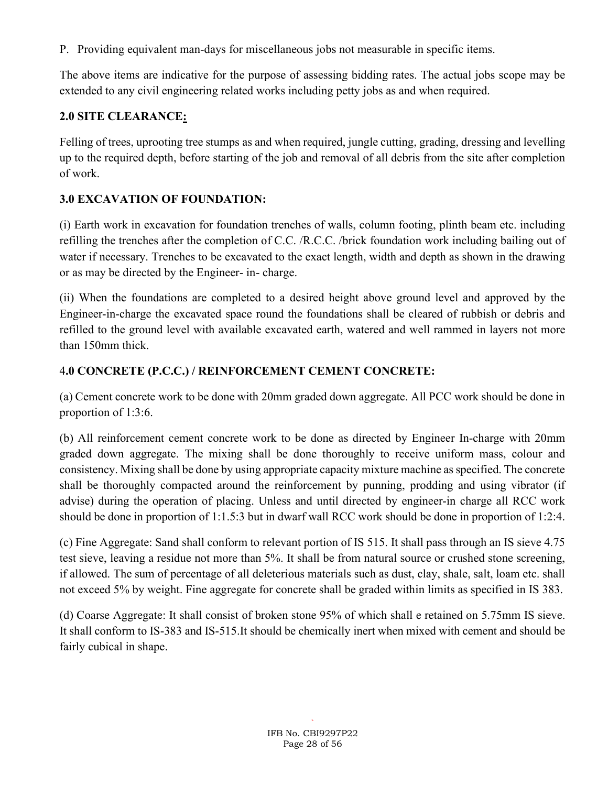P. Providing equivalent man-days for miscellaneous jobs not measurable in specific items.

The above items are indicative for the purpose of assessing bidding rates. The actual jobs scope may be extended to any civil engineering related works including petty jobs as and when required.

# 2.0 SITE CLEARANCE:

Felling of trees, uprooting tree stumps as and when required, jungle cutting, grading, dressing and levelling up to the required depth, before starting of the job and removal of all debris from the site after completion of work.

# 3.0 EXCAVATION OF FOUNDATION:

(i) Earth work in excavation for foundation trenches of walls, column footing, plinth beam etc. including refilling the trenches after the completion of C.C. /R.C.C. /brick foundation work including bailing out of water if necessary. Trenches to be excavated to the exact length, width and depth as shown in the drawing or as may be directed by the Engineer- in- charge.

(ii) When the foundations are completed to a desired height above ground level and approved by the Engineer-in-charge the excavated space round the foundations shall be cleared of rubbish or debris and refilled to the ground level with available excavated earth, watered and well rammed in layers not more than 150mm thick.

# 4.0 CONCRETE (P.C.C.) / REINFORCEMENT CEMENT CONCRETE:

(a) Cement concrete work to be done with 20mm graded down aggregate. All PCC work should be done in proportion of 1:3:6.

(b) All reinforcement cement concrete work to be done as directed by Engineer In-charge with 20mm graded down aggregate. The mixing shall be done thoroughly to receive uniform mass, colour and consistency. Mixing shall be done by using appropriate capacity mixture machine as specified. The concrete shall be thoroughly compacted around the reinforcement by punning, prodding and using vibrator (if advise) during the operation of placing. Unless and until directed by engineer-in charge all RCC work should be done in proportion of 1:1.5:3 but in dwarf wall RCC work should be done in proportion of 1:2:4.

(c) Fine Aggregate: Sand shall conform to relevant portion of IS 515. It shall pass through an IS sieve 4.75 test sieve, leaving a residue not more than 5%. It shall be from natural source or crushed stone screening, if allowed. The sum of percentage of all deleterious materials such as dust, clay, shale, salt, loam etc. shall not exceed 5% by weight. Fine aggregate for concrete shall be graded within limits as specified in IS 383.

(d) Coarse Aggregate: It shall consist of broken stone 95% of which shall e retained on 5.75mm IS sieve. It shall conform to IS-383 and IS-515.It should be chemically inert when mixed with cement and should be fairly cubical in shape.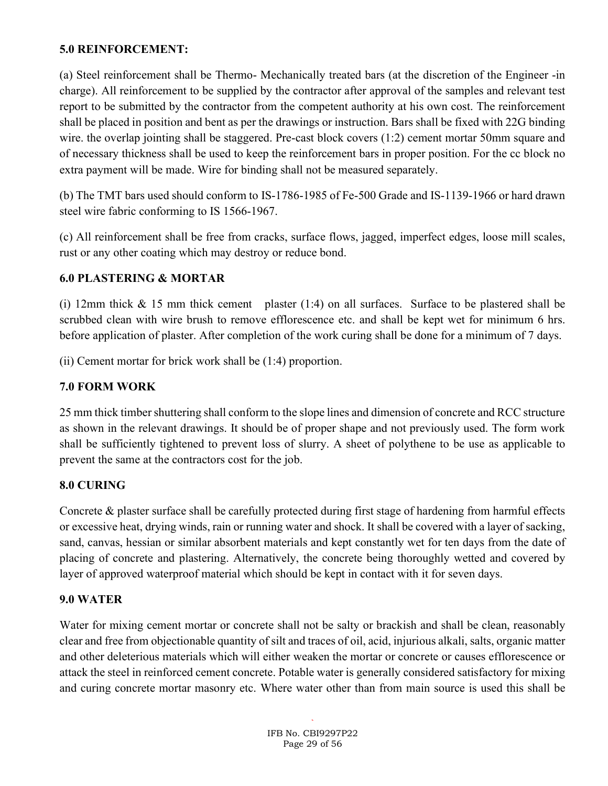### 5.0 REINFORCEMENT:

(a) Steel reinforcement shall be Thermo- Mechanically treated bars (at the discretion of the Engineer -in charge). All reinforcement to be supplied by the contractor after approval of the samples and relevant test report to be submitted by the contractor from the competent authority at his own cost. The reinforcement shall be placed in position and bent as per the drawings or instruction. Bars shall be fixed with 22G binding wire. the overlap jointing shall be staggered. Pre-cast block covers (1:2) cement mortar 50mm square and of necessary thickness shall be used to keep the reinforcement bars in proper position. For the cc block no extra payment will be made. Wire for binding shall not be measured separately.

(b) The TMT bars used should conform to IS-1786-1985 of Fe-500 Grade and IS-1139-1966 or hard drawn steel wire fabric conforming to IS 1566-1967.

(c) All reinforcement shall be free from cracks, surface flows, jagged, imperfect edges, loose mill scales, rust or any other coating which may destroy or reduce bond.

### 6.0 PLASTERING & MORTAR

(i) 12mm thick & 15 mm thick cement plaster (1:4) on all surfaces. Surface to be plastered shall be scrubbed clean with wire brush to remove efflorescence etc. and shall be kept wet for minimum 6 hrs. before application of plaster. After completion of the work curing shall be done for a minimum of 7 days.

(ii) Cement mortar for brick work shall be (1:4) proportion.

## 7.0 FORM WORK

25 mm thick timber shuttering shall conform to the slope lines and dimension of concrete and RCC structure as shown in the relevant drawings. It should be of proper shape and not previously used. The form work shall be sufficiently tightened to prevent loss of slurry. A sheet of polythene to be use as applicable to prevent the same at the contractors cost for the job.

### 8.0 CURING

Concrete & plaster surface shall be carefully protected during first stage of hardening from harmful effects or excessive heat, drying winds, rain or running water and shock. It shall be covered with a layer of sacking, sand, canvas, hessian or similar absorbent materials and kept constantly wet for ten days from the date of placing of concrete and plastering. Alternatively, the concrete being thoroughly wetted and covered by layer of approved waterproof material which should be kept in contact with it for seven days.

### 9.0 WATER

Water for mixing cement mortar or concrete shall not be salty or brackish and shall be clean, reasonably clear and free from objectionable quantity of silt and traces of oil, acid, injurious alkali, salts, organic matter and other deleterious materials which will either weaken the mortar or concrete or causes efflorescence or attack the steel in reinforced cement concrete. Potable water is generally considered satisfactory for mixing and curing concrete mortar masonry etc. Where water other than from main source is used this shall be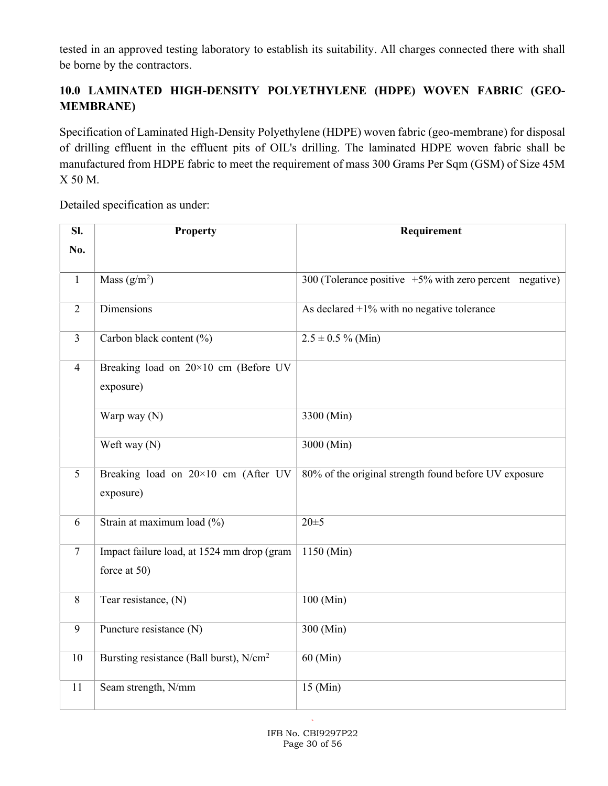tested in an approved testing laboratory to establish its suitability. All charges connected there with shall be borne by the contractors.

# 10.0 LAMINATED HIGH-DENSITY POLYETHYLENE (HDPE) WOVEN FABRIC (GEO-MEMBRANE)

Specification of Laminated High-Density Polyethylene (HDPE) woven fabric (geo-membrane) for disposal of drilling effluent in the effluent pits of OIL's drilling. The laminated HDPE woven fabric shall be manufactured from HDPE fabric to meet the requirement of mass 300 Grams Per Sqm (GSM) of Size 45M X 50 M.

Detailed specification as under:

| SI.            | <b>Property</b>                                            | Requirement                                                |
|----------------|------------------------------------------------------------|------------------------------------------------------------|
| No.            |                                                            |                                                            |
|                |                                                            |                                                            |
| $\mathbf{1}$   | Mass $(g/m^2)$                                             | 300 (Tolerance positive $+5\%$ with zero percent negative) |
| $\overline{2}$ | Dimensions                                                 | As declared $+1\%$ with no negative tolerance              |
| $\overline{3}$ | Carbon black content (%)                                   | $2.5 \pm 0.5 \%$ (Min)                                     |
| $\overline{4}$ | Breaking load on 20×10 cm (Before UV<br>exposure)          |                                                            |
|                | Warp way (N)                                               | 3300 (Min)                                                 |
|                | Weft way (N)                                               | 3000 (Min)                                                 |
| 5              | Breaking load on 20×10 cm (After UV<br>exposure)           | 80% of the original strength found before UV exposure      |
| 6              | Strain at maximum load (%)                                 | $20 \pm 5$                                                 |
| $\overline{7}$ | Impact failure load, at 1524 mm drop (gram<br>force at 50) | 1150 (Min)                                                 |
| 8              | Tear resistance, (N)                                       | 100 (Min)                                                  |
| 9              | Puncture resistance (N)                                    | 300 (Min)                                                  |
| 10             | Bursting resistance (Ball burst), N/cm <sup>2</sup>        | $60$ (Min)                                                 |
| 11             | Seam strength, N/mm                                        | 15 (Min)                                                   |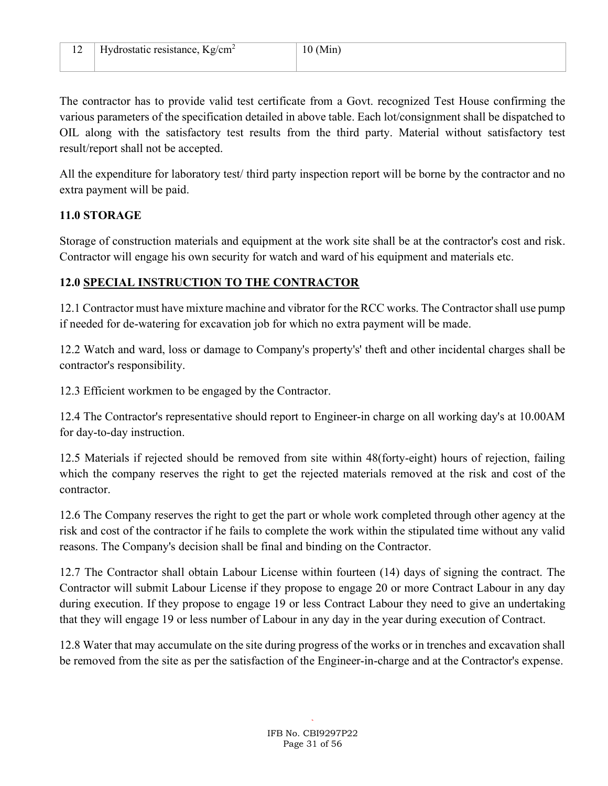The contractor has to provide valid test certificate from a Govt. recognized Test House confirming the various parameters of the specification detailed in above table. Each lot/consignment shall be dispatched to OIL along with the satisfactory test results from the third party. Material without satisfactory test result/report shall not be accepted.

All the expenditure for laboratory test/ third party inspection report will be borne by the contractor and no extra payment will be paid.

### 11.0 STORAGE

Storage of construction materials and equipment at the work site shall be at the contractor's cost and risk. Contractor will engage his own security for watch and ward of his equipment and materials etc.

## 12.0 SPECIAL INSTRUCTION TO THE CONTRACTOR

12.1 Contractor must have mixture machine and vibrator for the RCC works. The Contractor shall use pump if needed for de-watering for excavation job for which no extra payment will be made.

12.2 Watch and ward, loss or damage to Company's property's' theft and other incidental charges shall be contractor's responsibility.

12.3 Efficient workmen to be engaged by the Contractor.

12.4 The Contractor's representative should report to Engineer-in charge on all working day's at 10.00AM for day-to-day instruction.

12.5 Materials if rejected should be removed from site within 48(forty-eight) hours of rejection, failing which the company reserves the right to get the rejected materials removed at the risk and cost of the contractor.

12.6 The Company reserves the right to get the part or whole work completed through other agency at the risk and cost of the contractor if he fails to complete the work within the stipulated time without any valid reasons. The Company's decision shall be final and binding on the Contractor.

12.7 The Contractor shall obtain Labour License within fourteen (14) days of signing the contract. The Contractor will submit Labour License if they propose to engage 20 or more Contract Labour in any day during execution. If they propose to engage 19 or less Contract Labour they need to give an undertaking that they will engage 19 or less number of Labour in any day in the year during execution of Contract.

12.8 Water that may accumulate on the site during progress of the works or in trenches and excavation shall be removed from the site as per the satisfaction of the Engineer-in-charge and at the Contractor's expense.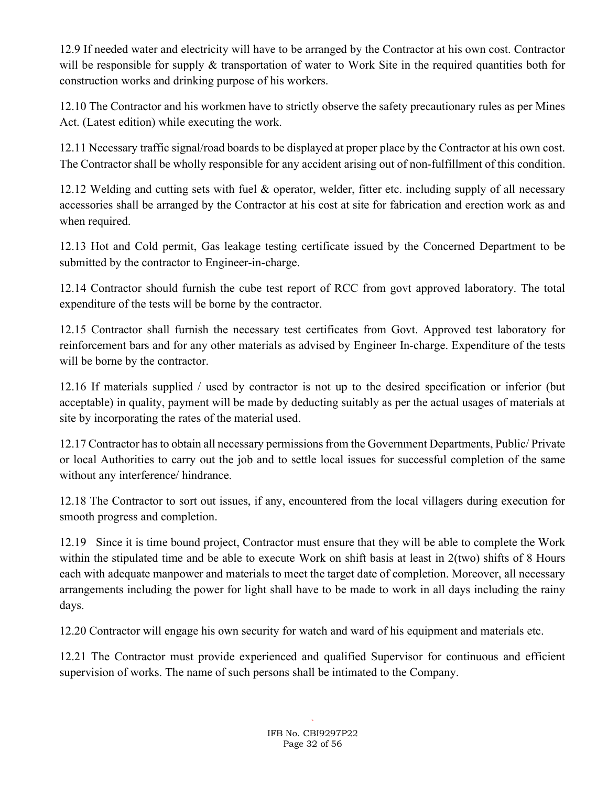12.9 If needed water and electricity will have to be arranged by the Contractor at his own cost. Contractor will be responsible for supply & transportation of water to Work Site in the required quantities both for construction works and drinking purpose of his workers.

12.10 The Contractor and his workmen have to strictly observe the safety precautionary rules as per Mines Act. (Latest edition) while executing the work.

12.11 Necessary traffic signal/road boards to be displayed at proper place by the Contractor at his own cost. The Contractor shall be wholly responsible for any accident arising out of non-fulfillment of this condition.

12.12 Welding and cutting sets with fuel & operator, welder, fitter etc. including supply of all necessary accessories shall be arranged by the Contractor at his cost at site for fabrication and erection work as and when required.

12.13 Hot and Cold permit, Gas leakage testing certificate issued by the Concerned Department to be submitted by the contractor to Engineer-in-charge.

12.14 Contractor should furnish the cube test report of RCC from govt approved laboratory. The total expenditure of the tests will be borne by the contractor.

12.15 Contractor shall furnish the necessary test certificates from Govt. Approved test laboratory for reinforcement bars and for any other materials as advised by Engineer In-charge. Expenditure of the tests will be borne by the contractor.

12.16 If materials supplied / used by contractor is not up to the desired specification or inferior (but acceptable) in quality, payment will be made by deducting suitably as per the actual usages of materials at site by incorporating the rates of the material used.

12.17 Contractor has to obtain all necessary permissions from the Government Departments, Public/ Private or local Authorities to carry out the job and to settle local issues for successful completion of the same without any interference/ hindrance.

12.18 The Contractor to sort out issues, if any, encountered from the local villagers during execution for smooth progress and completion.

12.19 Since it is time bound project, Contractor must ensure that they will be able to complete the Work within the stipulated time and be able to execute Work on shift basis at least in 2(two) shifts of 8 Hours each with adequate manpower and materials to meet the target date of completion. Moreover, all necessary arrangements including the power for light shall have to be made to work in all days including the rainy days.

12.20 Contractor will engage his own security for watch and ward of his equipment and materials etc.

12.21 The Contractor must provide experienced and qualified Supervisor for continuous and efficient supervision of works. The name of such persons shall be intimated to the Company.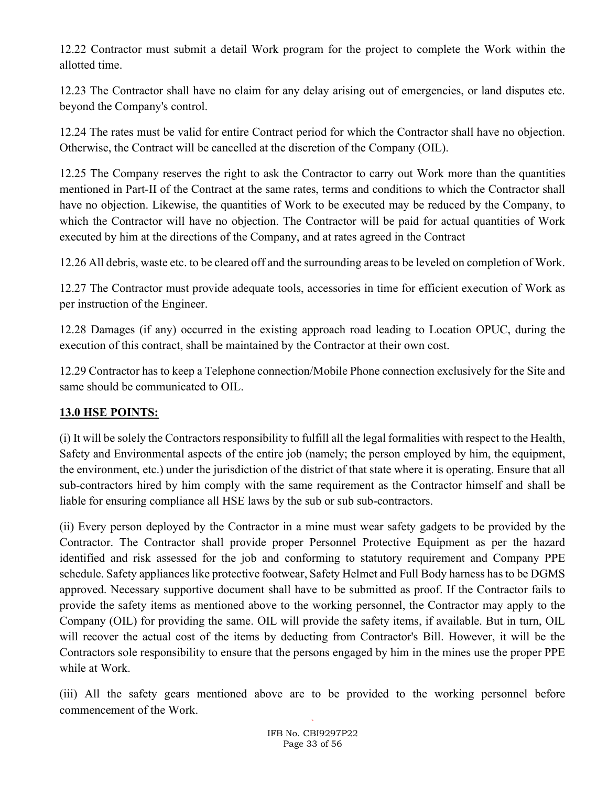12.22 Contractor must submit a detail Work program for the project to complete the Work within the allotted time.

12.23 The Contractor shall have no claim for any delay arising out of emergencies, or land disputes etc. beyond the Company's control.

12.24 The rates must be valid for entire Contract period for which the Contractor shall have no objection. Otherwise, the Contract will be cancelled at the discretion of the Company (OIL).

12.25 The Company reserves the right to ask the Contractor to carry out Work more than the quantities mentioned in Part-II of the Contract at the same rates, terms and conditions to which the Contractor shall have no objection. Likewise, the quantities of Work to be executed may be reduced by the Company, to which the Contractor will have no objection. The Contractor will be paid for actual quantities of Work executed by him at the directions of the Company, and at rates agreed in the Contract

12.26 All debris, waste etc. to be cleared off and the surrounding areas to be leveled on completion of Work.

12.27 The Contractor must provide adequate tools, accessories in time for efficient execution of Work as per instruction of the Engineer.

12.28 Damages (if any) occurred in the existing approach road leading to Location OPUC, during the execution of this contract, shall be maintained by the Contractor at their own cost.

12.29 Contractor has to keep a Telephone connection/Mobile Phone connection exclusively for the Site and same should be communicated to OIL.

## 13.0 HSE POINTS:

(i) It will be solely the Contractors responsibility to fulfill all the legal formalities with respect to the Health, Safety and Environmental aspects of the entire job (namely; the person employed by him, the equipment, the environment, etc.) under the jurisdiction of the district of that state where it is operating. Ensure that all sub-contractors hired by him comply with the same requirement as the Contractor himself and shall be liable for ensuring compliance all HSE laws by the sub or sub sub-contractors.

(ii) Every person deployed by the Contractor in a mine must wear safety gadgets to be provided by the Contractor. The Contractor shall provide proper Personnel Protective Equipment as per the hazard identified and risk assessed for the job and conforming to statutory requirement and Company PPE schedule. Safety appliances like protective footwear, Safety Helmet and Full Body harness has to be DGMS approved. Necessary supportive document shall have to be submitted as proof. If the Contractor fails to provide the safety items as mentioned above to the working personnel, the Contractor may apply to the Company (OIL) for providing the same. OIL will provide the safety items, if available. But in turn, OIL will recover the actual cost of the items by deducting from Contractor's Bill. However, it will be the Contractors sole responsibility to ensure that the persons engaged by him in the mines use the proper PPE while at Work.

(iii) All the safety gears mentioned above are to be provided to the working personnel before commencement of the Work.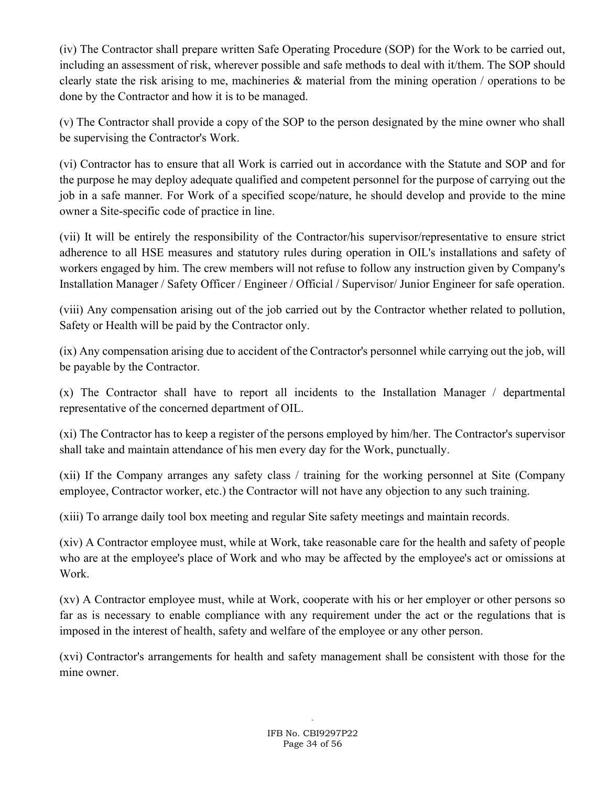(iv) The Contractor shall prepare written Safe Operating Procedure (SOP) for the Work to be carried out, including an assessment of risk, wherever possible and safe methods to deal with it/them. The SOP should clearly state the risk arising to me, machineries & material from the mining operation / operations to be done by the Contractor and how it is to be managed.

(v) The Contractor shall provide a copy of the SOP to the person designated by the mine owner who shall be supervising the Contractor's Work.

(vi) Contractor has to ensure that all Work is carried out in accordance with the Statute and SOP and for the purpose he may deploy adequate qualified and competent personnel for the purpose of carrying out the job in a safe manner. For Work of a specified scope/nature, he should develop and provide to the mine owner a Site-specific code of practice in line.

(vii) It will be entirely the responsibility of the Contractor/his supervisor/representative to ensure strict adherence to all HSE measures and statutory rules during operation in OIL's installations and safety of workers engaged by him. The crew members will not refuse to follow any instruction given by Company's Installation Manager / Safety Officer / Engineer / Official / Supervisor Junior Engineer for safe operation.

(viii) Any compensation arising out of the job carried out by the Contractor whether related to pollution, Safety or Health will be paid by the Contractor only.

(ix) Any compensation arising due to accident of the Contractor's personnel while carrying out the job, will be payable by the Contractor.

(x) The Contractor shall have to report all incidents to the Installation Manager / departmental representative of the concerned department of OIL.

(xi) The Contractor has to keep a register of the persons employed by him/her. The Contractor's supervisor shall take and maintain attendance of his men every day for the Work, punctually.

(xii) If the Company arranges any safety class / training for the working personnel at Site (Company employee, Contractor worker, etc.) the Contractor will not have any objection to any such training.

(xiii) To arrange daily tool box meeting and regular Site safety meetings and maintain records.

(xiv) A Contractor employee must, while at Work, take reasonable care for the health and safety of people who are at the employee's place of Work and who may be affected by the employee's act or omissions at Work.

(xv) A Contractor employee must, while at Work, cooperate with his or her employer or other persons so far as is necessary to enable compliance with any requirement under the act or the regulations that is imposed in the interest of health, safety and welfare of the employee or any other person.

(xvi) Contractor's arrangements for health and safety management shall be consistent with those for the mine owner.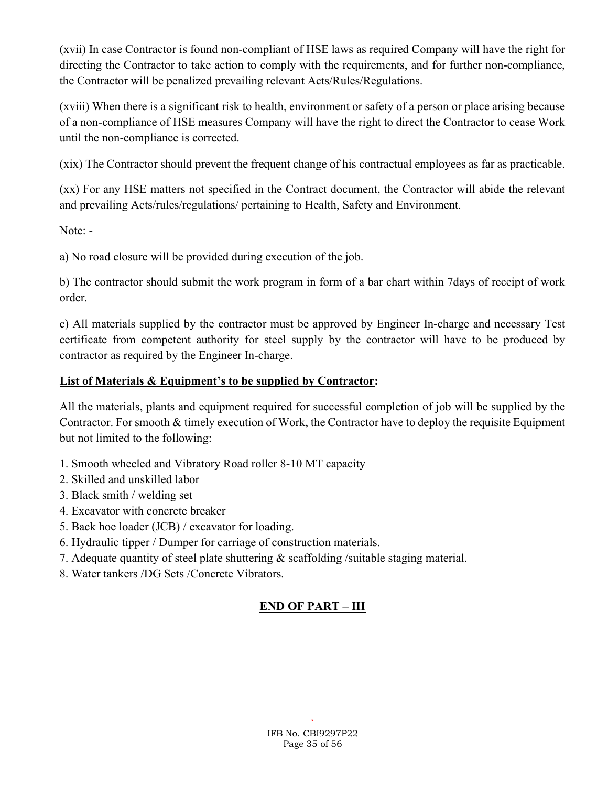(xvii) In case Contractor is found non-compliant of HSE laws as required Company will have the right for directing the Contractor to take action to comply with the requirements, and for further non-compliance, the Contractor will be penalized prevailing relevant Acts/Rules/Regulations.

(xviii) When there is a significant risk to health, environment or safety of a person or place arising because of a non-compliance of HSE measures Company will have the right to direct the Contractor to cease Work until the non-compliance is corrected.

(xix) The Contractor should prevent the frequent change of his contractual employees as far as practicable.

(xx) For any HSE matters not specified in the Contract document, the Contractor will abide the relevant and prevailing Acts/rules/regulations/ pertaining to Health, Safety and Environment.

Note: -

a) No road closure will be provided during execution of the job.

b) The contractor should submit the work program in form of a bar chart within 7days of receipt of work order.

c) All materials supplied by the contractor must be approved by Engineer In-charge and necessary Test certificate from competent authority for steel supply by the contractor will have to be produced by contractor as required by the Engineer In-charge.

### List of Materials & Equipment's to be supplied by Contractor:

All the materials, plants and equipment required for successful completion of job will be supplied by the Contractor. For smooth & timely execution of Work, the Contractor have to deploy the requisite Equipment but not limited to the following:

- 1. Smooth wheeled and Vibratory Road roller 8-10 MT capacity
- 2. Skilled and unskilled labor
- 3. Black smith / welding set
- 4. Excavator with concrete breaker
- 5. Back hoe loader (JCB) / excavator for loading.
- 6. Hydraulic tipper / Dumper for carriage of construction materials.
- 7. Adequate quantity of steel plate shuttering & scaffolding /suitable staging material.
- 8. Water tankers /DG Sets /Concrete Vibrators.

# END OF PART – III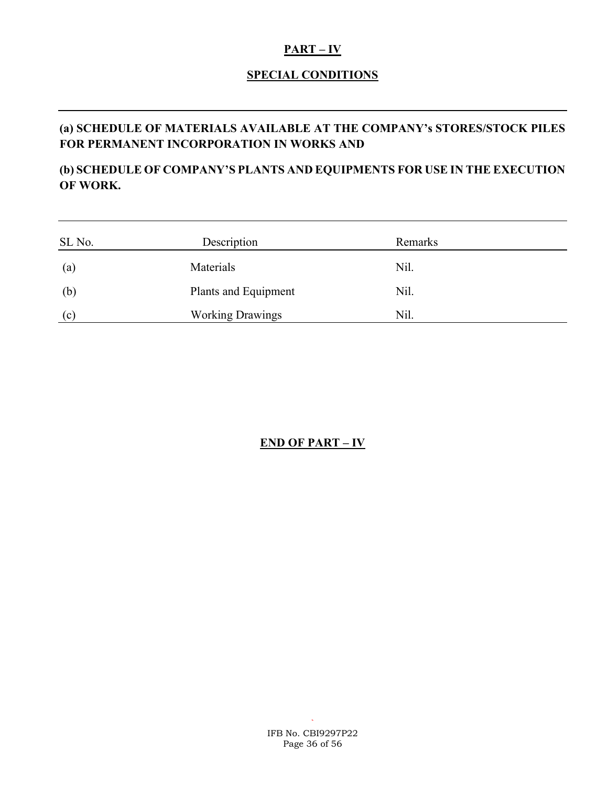#### $PART - IV$

### SPECIAL CONDITIONS

# (a) SCHEDULE OF MATERIALS AVAILABLE AT THE COMPANY's STORES/STOCK PILES FOR PERMANENT INCORPORATION IN WORKS AND

# (b) SCHEDULE OF COMPANY'S PLANTS AND EQUIPMENTS FOR USE IN THE EXECUTION OF WORK.

| SL No.                   | Description             | Remarks |  |
|--------------------------|-------------------------|---------|--|
| $\left( \text{a}\right)$ | Materials               | Nil.    |  |
| (b)                      | Plants and Equipment    | Nil.    |  |
| (c)                      | <b>Working Drawings</b> | Nil.    |  |

# END OF PART – IV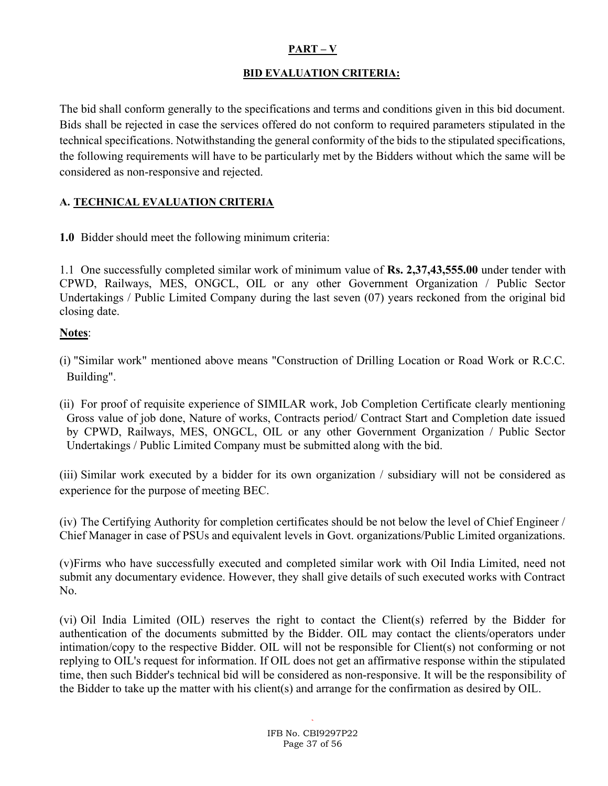### PART – V

#### BID EVALUATION CRITERIA:

The bid shall conform generally to the specifications and terms and conditions given in this bid document. Bids shall be rejected in case the services offered do not conform to required parameters stipulated in the technical specifications. Notwithstanding the general conformity of the bids to the stipulated specifications, the following requirements will have to be particularly met by the Bidders without which the same will be considered as non-responsive and rejected.

#### A. TECHNICAL EVALUATION CRITERIA

1.0 Bidder should meet the following minimum criteria:

1.1 One successfully completed similar work of minimum value of Rs. 2,37,43,555.00 under tender with CPWD, Railways, MES, ONGCL, OIL or any other Government Organization / Public Sector Undertakings / Public Limited Company during the last seven (07) years reckoned from the original bid closing date.

### Notes:

- (i) "Similar work" mentioned above means "Construction of Drilling Location or Road Work or R.C.C. Building".
- (ii) For proof of requisite experience of SIMILAR work, Job Completion Certificate clearly mentioning Gross value of job done, Nature of works, Contracts period/ Contract Start and Completion date issued by CPWD, Railways, MES, ONGCL, OIL or any other Government Organization / Public Sector Undertakings / Public Limited Company must be submitted along with the bid.

(iii) Similar work executed by a bidder for its own organization / subsidiary will not be considered as experience for the purpose of meeting BEC.

(iv) The Certifying Authority for completion certificates should be not below the level of Chief Engineer / Chief Manager in case of PSUs and equivalent levels in Govt. organizations/Public Limited organizations.

(v)Firms who have successfully executed and completed similar work with Oil India Limited, need not submit any documentary evidence. However, they shall give details of such executed works with Contract No.

(vi) Oil India Limited (OIL) reserves the right to contact the Client(s) referred by the Bidder for authentication of the documents submitted by the Bidder. OIL may contact the clients/operators under intimation/copy to the respective Bidder. OIL will not be responsible for Client(s) not conforming or not replying to OIL's request for information. If OIL does not get an affirmative response within the stipulated time, then such Bidder's technical bid will be considered as non-responsive. It will be the responsibility of the Bidder to take up the matter with his client(s) and arrange for the confirmation as desired by OIL.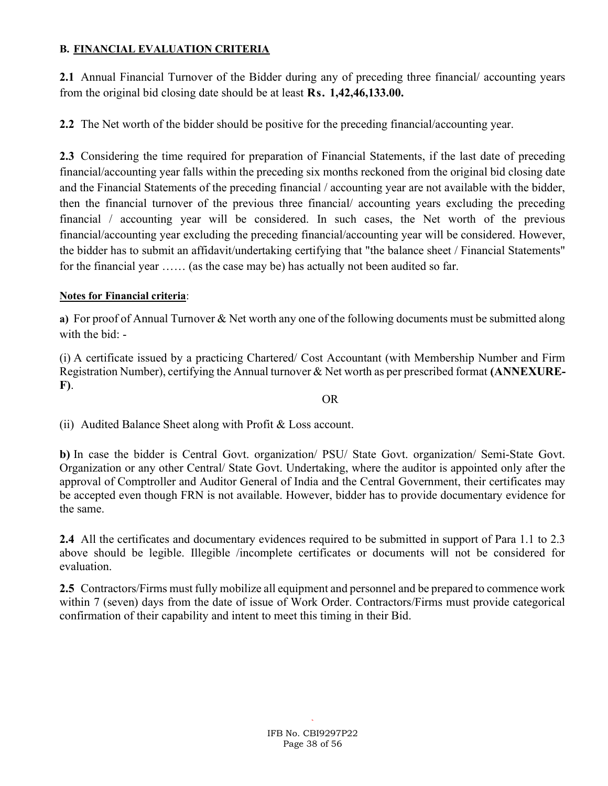#### B. FINANCIAL EVALUATION CRITERIA

2.1 Annual Financial Turnover of the Bidder during any of preceding three financial/accounting years from the original bid closing date should be at least Rs. 1,42,46,133.00.

2.2 The Net worth of the bidder should be positive for the preceding financial/accounting year.

2.3 Considering the time required for preparation of Financial Statements, if the last date of preceding financial/accounting year falls within the preceding six months reckoned from the original bid closing date and the Financial Statements of the preceding financial / accounting year are not available with the bidder, then the financial turnover of the previous three financial/ accounting years excluding the preceding financial / accounting year will be considered. In such cases, the Net worth of the previous financial/accounting year excluding the preceding financial/accounting year will be considered. However, the bidder has to submit an affidavit/undertaking certifying that "the balance sheet / Financial Statements" for the financial year …… (as the case may be) has actually not been audited so far.

### Notes for Financial criteria:

a) For proof of Annual Turnover & Net worth any one of the following documents must be submitted along with the bid: -

(i) A certificate issued by a practicing Chartered/ Cost Accountant (with Membership Number and Firm Registration Number), certifying the Annual turnover & Net worth as per prescribed format (ANNEXURE-F).

#### OR

(ii) Audited Balance Sheet along with Profit & Loss account.

b) In case the bidder is Central Govt. organization/ PSU/ State Govt. organization/ Semi-State Govt. Organization or any other Central/ State Govt. Undertaking, where the auditor is appointed only after the approval of Comptroller and Auditor General of India and the Central Government, their certificates may be accepted even though FRN is not available. However, bidder has to provide documentary evidence for the same.

2.4 All the certificates and documentary evidences required to be submitted in support of Para 1.1 to 2.3 above should be legible. Illegible /incomplete certificates or documents will not be considered for evaluation.

2.5 Contractors/Firms must fully mobilize all equipment and personnel and be prepared to commence work within 7 (seven) days from the date of issue of Work Order. Contractors/Firms must provide categorical confirmation of their capability and intent to meet this timing in their Bid.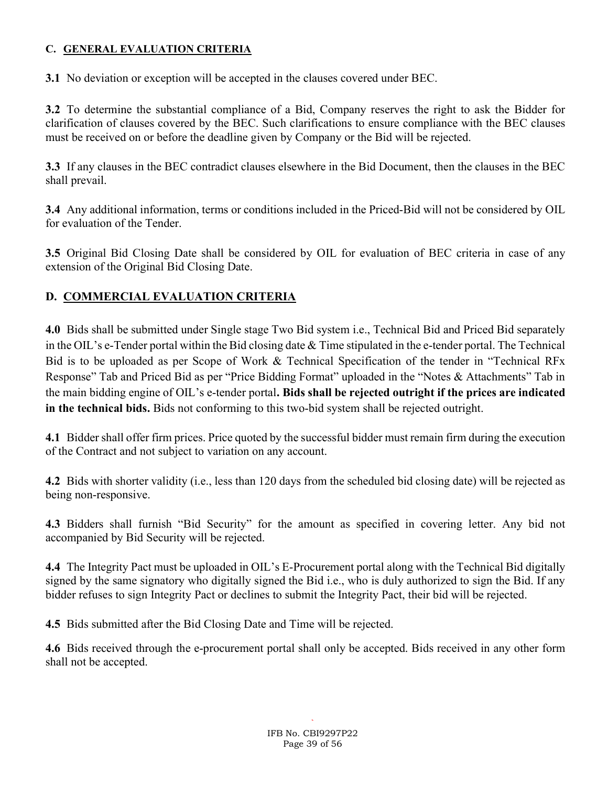### C. GENERAL EVALUATION CRITERIA

3.1 No deviation or exception will be accepted in the clauses covered under BEC.

3.2 To determine the substantial compliance of a Bid, Company reserves the right to ask the Bidder for clarification of clauses covered by the BEC. Such clarifications to ensure compliance with the BEC clauses must be received on or before the deadline given by Company or the Bid will be rejected.

3.3 If any clauses in the BEC contradict clauses elsewhere in the Bid Document, then the clauses in the BEC shall prevail.

3.4 Any additional information, terms or conditions included in the Priced-Bid will not be considered by OIL for evaluation of the Tender.

3.5 Original Bid Closing Date shall be considered by OIL for evaluation of BEC criteria in case of any extension of the Original Bid Closing Date.

## D. COMMERCIAL EVALUATION CRITERIA

4.0 Bids shall be submitted under Single stage Two Bid system i.e., Technical Bid and Priced Bid separately in the OIL's e-Tender portal within the Bid closing date & Time stipulated in the e-tender portal. The Technical Bid is to be uploaded as per Scope of Work & Technical Specification of the tender in "Technical RFx Response" Tab and Priced Bid as per "Price Bidding Format" uploaded in the "Notes & Attachments" Tab in the main bidding engine of OIL's e-tender portal. Bids shall be rejected outright if the prices are indicated in the technical bids. Bids not conforming to this two-bid system shall be rejected outright.

4.1 Bidder shall offer firm prices. Price quoted by the successful bidder must remain firm during the execution of the Contract and not subject to variation on any account.

4.2 Bids with shorter validity (i.e., less than 120 days from the scheduled bid closing date) will be rejected as being non-responsive.

4.3 Bidders shall furnish "Bid Security" for the amount as specified in covering letter. Any bid not accompanied by Bid Security will be rejected.

4.4 The Integrity Pact must be uploaded in OIL's E-Procurement portal along with the Technical Bid digitally signed by the same signatory who digitally signed the Bid i.e., who is duly authorized to sign the Bid. If any bidder refuses to sign Integrity Pact or declines to submit the Integrity Pact, their bid will be rejected.

4.5 Bids submitted after the Bid Closing Date and Time will be rejected.

4.6 Bids received through the e-procurement portal shall only be accepted. Bids received in any other form shall not be accepted.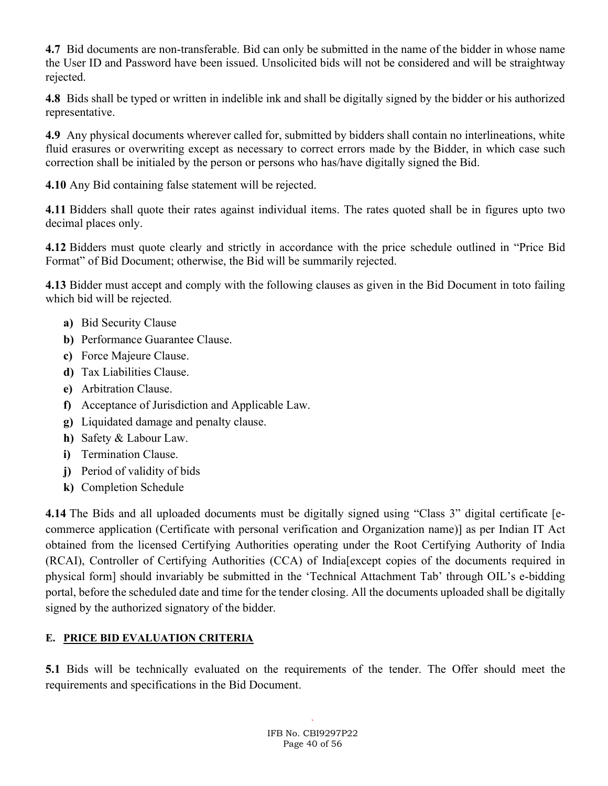4.7 Bid documents are non-transferable. Bid can only be submitted in the name of the bidder in whose name the User ID and Password have been issued. Unsolicited bids will not be considered and will be straightway rejected.

4.8 Bids shall be typed or written in indelible ink and shall be digitally signed by the bidder or his authorized representative.

4.9 Any physical documents wherever called for, submitted by bidders shall contain no interlineations, white fluid erasures or overwriting except as necessary to correct errors made by the Bidder, in which case such correction shall be initialed by the person or persons who has/have digitally signed the Bid.

4.10 Any Bid containing false statement will be rejected.

4.11 Bidders shall quote their rates against individual items. The rates quoted shall be in figures upto two decimal places only.

4.12 Bidders must quote clearly and strictly in accordance with the price schedule outlined in "Price Bid Format" of Bid Document; otherwise, the Bid will be summarily rejected.

4.13 Bidder must accept and comply with the following clauses as given in the Bid Document in toto failing which bid will be rejected.

- a) Bid Security Clause
- b) Performance Guarantee Clause.
- c) Force Majeure Clause.
- d) Tax Liabilities Clause.
- e) Arbitration Clause.
- f) Acceptance of Jurisdiction and Applicable Law.
- g) Liquidated damage and penalty clause.
- h) Safety & Labour Law.
- i) Termination Clause.
- j) Period of validity of bids
- k) Completion Schedule

4.14 The Bids and all uploaded documents must be digitally signed using "Class 3" digital certificate [ecommerce application (Certificate with personal verification and Organization name)] as per Indian IT Act obtained from the licensed Certifying Authorities operating under the Root Certifying Authority of India (RCAI), Controller of Certifying Authorities (CCA) of India[except copies of the documents required in physical form] should invariably be submitted in the 'Technical Attachment Tab' through OIL's e-bidding portal, before the scheduled date and time for the tender closing. All the documents uploaded shall be digitally signed by the authorized signatory of the bidder.

# E. PRICE BID EVALUATION CRITERIA

5.1 Bids will be technically evaluated on the requirements of the tender. The Offer should meet the requirements and specifications in the Bid Document.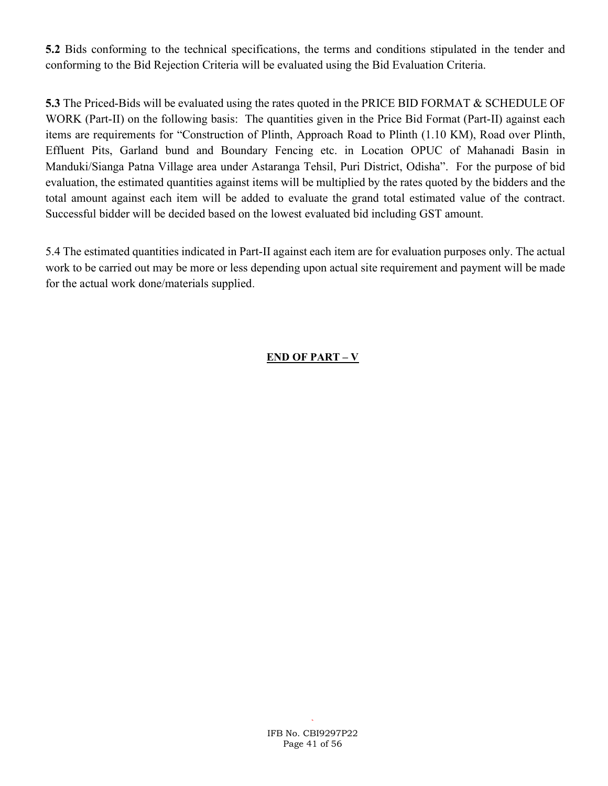5.2 Bids conforming to the technical specifications, the terms and conditions stipulated in the tender and conforming to the Bid Rejection Criteria will be evaluated using the Bid Evaluation Criteria.

5.3 The Priced-Bids will be evaluated using the rates quoted in the PRICE BID FORMAT & SCHEDULE OF WORK (Part-II) on the following basis: The quantities given in the Price Bid Format (Part-II) against each items are requirements for "Construction of Plinth, Approach Road to Plinth (1.10 KM), Road over Plinth, Effluent Pits, Garland bund and Boundary Fencing etc. in Location OPUC of Mahanadi Basin in Manduki/Sianga Patna Village area under Astaranga Tehsil, Puri District, Odisha". For the purpose of bid evaluation, the estimated quantities against items will be multiplied by the rates quoted by the bidders and the total amount against each item will be added to evaluate the grand total estimated value of the contract. Successful bidder will be decided based on the lowest evaluated bid including GST amount.

5.4 The estimated quantities indicated in Part-II against each item are for evaluation purposes only. The actual work to be carried out may be more or less depending upon actual site requirement and payment will be made for the actual work done/materials supplied.

## END OF PART – V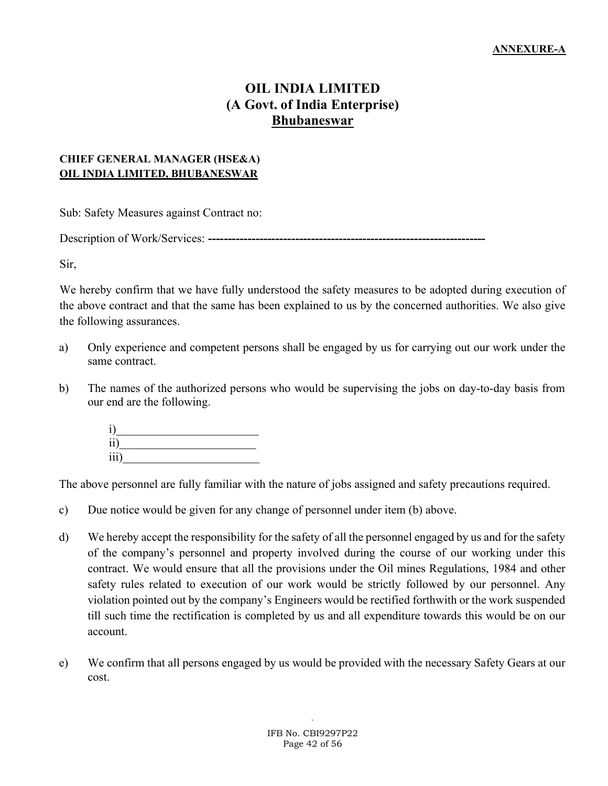# OIL INDIA LIMITED (A Govt. of India Enterprise) Bhubaneswar

#### CHIEF GENERAL MANAGER (HSE&A) OIL INDIA LIMITED, BHUBANESWAR

Sub: Safety Measures against Contract no:

Description of Work/Services: ----------------------------------------------------------------------

Sir,

We hereby confirm that we have fully understood the safety measures to be adopted during execution of the above contract and that the same has been explained to us by the concerned authorities. We also give the following assurances.

- a) Only experience and competent persons shall be engaged by us for carrying out our work under the same contract.
- b) The names of the authorized persons who would be supervising the jobs on day-to-day basis from our end are the following.



The above personnel are fully familiar with the nature of jobs assigned and safety precautions required.

- c) Due notice would be given for any change of personnel under item (b) above.
- d) We hereby accept the responsibility for the safety of all the personnel engaged by us and for the safety of the company's personnel and property involved during the course of our working under this contract. We would ensure that all the provisions under the Oil mines Regulations, 1984 and other safety rules related to execution of our work would be strictly followed by our personnel. Any violation pointed out by the company's Engineers would be rectified forthwith or the work suspended till such time the rectification is completed by us and all expenditure towards this would be on our account.
- e) We confirm that all persons engaged by us would be provided with the necessary Safety Gears at our cost.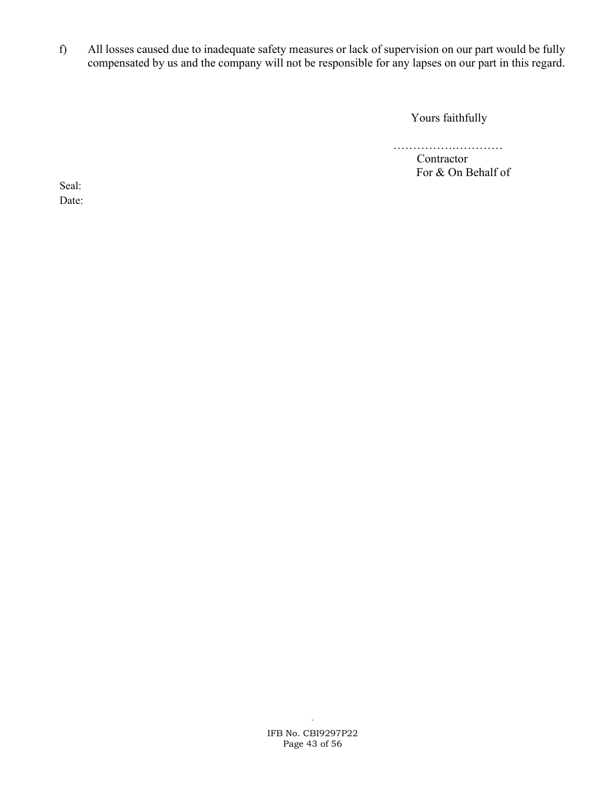f) All losses caused due to inadequate safety measures or lack of supervision on our part would be fully compensated by us and the company will not be responsible for any lapses on our part in this regard.

Yours faithfully

…………………………… Contractor For & On Behalf of

Seal: Date: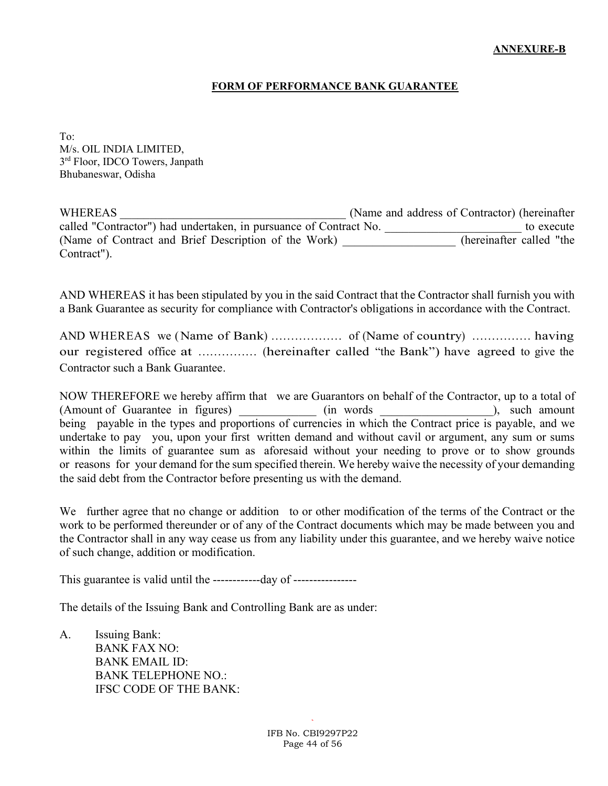#### FORM OF PERFORMANCE BANK GUARANTEE

To: M/s. OIL INDIA LIMITED, 3<sup>rd</sup> Floor, IDCO Towers, Janpath Bhubaneswar, Odisha

WHEREAS WHEREAS (Name and address of Contractor) (hereinafter called "Contractor") had undertaken, in pursuance of Contract No.  $\qquad \qquad$  to execute (Name of Contract and Brief Description of the Work) \_\_\_\_\_\_\_\_\_\_\_\_\_\_\_\_\_\_\_ (hereinafter called "the Contract").

AND WHEREAS it has been stipulated by you in the said Contract that the Contractor shall furnish you with a Bank Guarantee as security for compliance with Contractor's obligations in accordance with the Contract.

AND WHEREAS we (Name of Bank) ……………… of (Name of country) …………… having our registered office at …………… (hereinafter called "the Bank") have agreed to give the Contractor such a Bank Guarantee.

NOW THEREFORE we hereby affirm that we are Guarantors on behalf of the Contractor, up to a total of (Amount of Guarantee in figures)  $\qquad$  (in words  $\qquad$ ), such amount being payable in the types and proportions of currencies in which the Contract price is payable, and we undertake to pay you, upon your first written demand and without cavil or argument, any sum or sums within the limits of guarantee sum as aforesaid without your needing to prove or to show grounds or reasons for your demand for the sum specified therein. We hereby waive the necessity of your demanding the said debt from the Contractor before presenting us with the demand.

We further agree that no change or addition to or other modification of the terms of the Contract or the work to be performed thereunder or of any of the Contract documents which may be made between you and the Contractor shall in any way cease us from any liability under this guarantee, and we hereby waive notice of such change, addition or modification.

This guarantee is valid until the ------------day of -----------------

The details of the Issuing Bank and Controlling Bank are as under:

A. Issuing Bank: BANK FAX NO: BANK EMAIL ID: BANK TELEPHONE NO.: IFSC CODE OF THE BANK: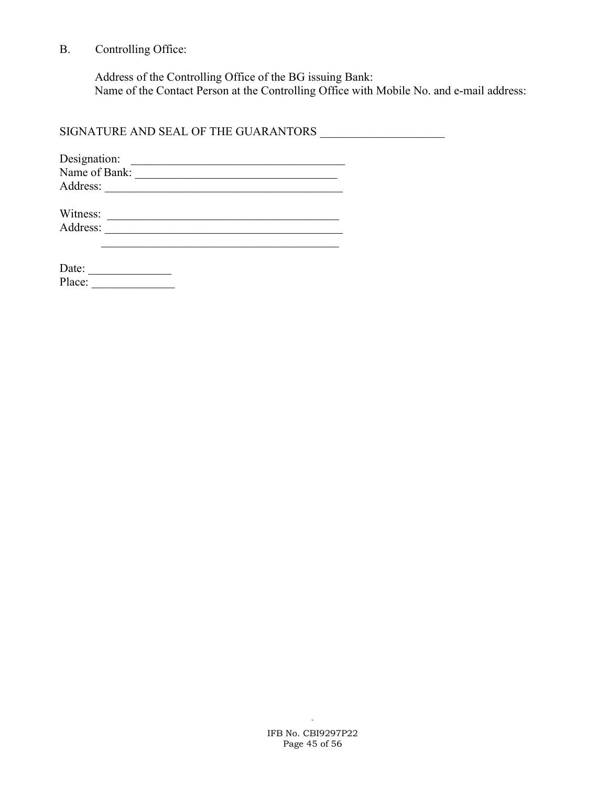B. Controlling Office:

 Address of the Controlling Office of the BG issuing Bank: Name of the Contact Person at the Controlling Office with Mobile No. and e-mail address:

SIGNATURE AND SEAL OF THE GUARANTORS \_\_\_\_\_\_\_\_\_\_\_\_\_\_\_\_\_\_\_\_\_

| Designation:  |  |
|---------------|--|
| Name of Bank: |  |
| Address:      |  |

| Witness: |  |
|----------|--|
| Address: |  |

| Date:  |  |  |  |  |
|--------|--|--|--|--|
| Place: |  |  |  |  |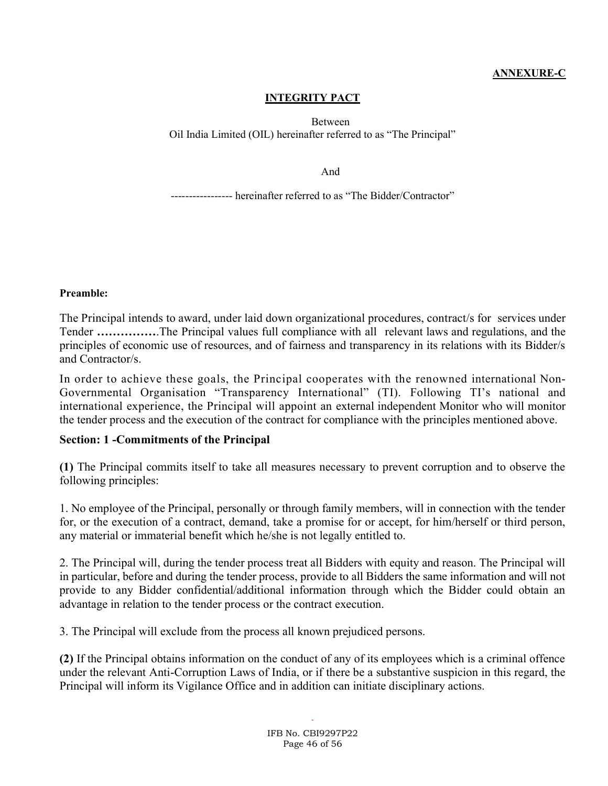### ANNEXURE-C

#### INTEGRITY PACT

Between Oil India Limited (OIL) hereinafter referred to as "The Principal"

And

----------------- hereinafter referred to as "The Bidder/Contractor"

Preamble:

The Principal intends to award, under laid down organizational procedures, contract/s for services under Tender …………….The Principal values full compliance with all relevant laws and regulations, and the principles of economic use of resources, and of fairness and transparency in its relations with its Bidder/s and Contractor/s.

In order to achieve these goals, the Principal cooperates with the renowned international Non-Governmental Organisation "Transparency International" (TI). Following TI's national and international experience, the Principal will appoint an external independent Monitor who will monitor the tender process and the execution of the contract for compliance with the principles mentioned above.

#### Section: 1 -Commitments of the Principal

(1) The Principal commits itself to take all measures necessary to prevent corruption and to observe the following principles:

1. No employee of the Principal, personally or through family members, will in connection with the tender for, or the execution of a contract, demand, take a promise for or accept, for him/herself or third person, any material or immaterial benefit which he/she is not legally entitled to.

2. The Principal will, during the tender process treat all Bidders with equity and reason. The Principal will in particular, before and during the tender process, provide to all Bidders the same information and will not provide to any Bidder confidential/additional information through which the Bidder could obtain an advantage in relation to the tender process or the contract execution.

3. The Principal will exclude from the process all known prejudiced persons.

(2) If the Principal obtains information on the conduct of any of its employees which is a criminal offence under the relevant Anti-Corruption Laws of India, or if there be a substantive suspicion in this regard, the Principal will inform its Vigilance Office and in addition can initiate disciplinary actions.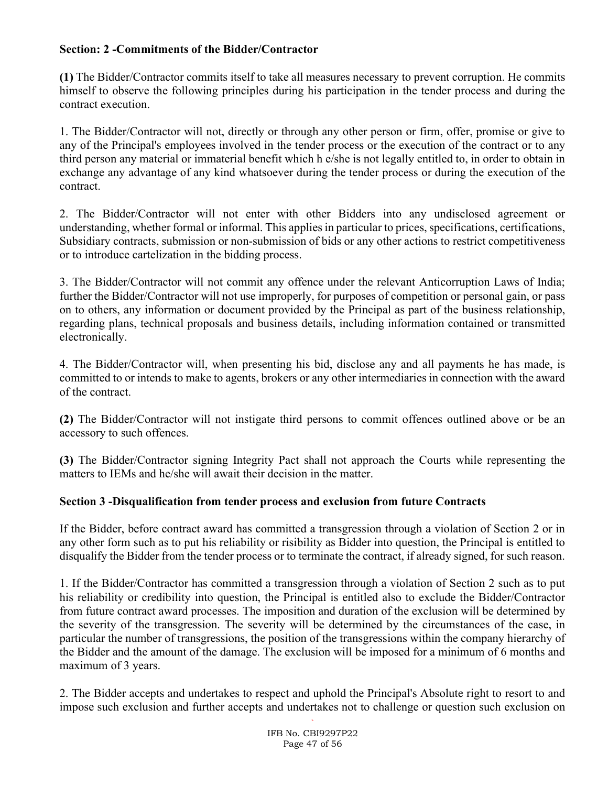### Section: 2 -Commitments of the Bidder/Contractor

(1) The Bidder/Contractor commits itself to take all measures necessary to prevent corruption. He commits himself to observe the following principles during his participation in the tender process and during the contract execution.

1. The Bidder/Contractor will not, directly or through any other person or firm, offer, promise or give to any of the Principal's employees involved in the tender process or the execution of the contract or to any third person any material or immaterial benefit which h e/she is not legally entitled to, in order to obtain in exchange any advantage of any kind whatsoever during the tender process or during the execution of the contract.

2. The Bidder/Contractor will not enter with other Bidders into any undisclosed agreement or understanding, whether formal or informal. This applies in particular to prices, specifications, certifications, Subsidiary contracts, submission or non-submission of bids or any other actions to restrict competitiveness or to introduce cartelization in the bidding process.

3. The Bidder/Contractor will not commit any offence under the relevant Anticorruption Laws of India; further the Bidder/Contractor will not use improperly, for purposes of competition or personal gain, or pass on to others, any information or document provided by the Principal as part of the business relationship, regarding plans, technical proposals and business details, including information contained or transmitted electronically.

4. The Bidder/Contractor will, when presenting his bid, disclose any and all payments he has made, is committed to or intends to make to agents, brokers or any other intermediaries in connection with the award of the contract.

(2) The Bidder/Contractor will not instigate third persons to commit offences outlined above or be an accessory to such offences.

(3) The Bidder/Contractor signing Integrity Pact shall not approach the Courts while representing the matters to IEMs and he/she will await their decision in the matter.

### Section 3 -Disqualification from tender process and exclusion from future Contracts

If the Bidder, before contract award has committed a transgression through a violation of Section 2 or in any other form such as to put his reliability or risibility as Bidder into question, the Principal is entitled to disqualify the Bidder from the tender process or to terminate the contract, if already signed, for such reason.

1. If the Bidder/Contractor has committed a transgression through a violation of Section 2 such as to put his reliability or credibility into question, the Principal is entitled also to exclude the Bidder/Contractor from future contract award processes. The imposition and duration of the exclusion will be determined by the severity of the transgression. The severity will be determined by the circumstances of the case, in particular the number of transgressions, the position of the transgressions within the company hierarchy of the Bidder and the amount of the damage. The exclusion will be imposed for a minimum of 6 months and maximum of 3 years.

2. The Bidder accepts and undertakes to respect and uphold the Principal's Absolute right to resort to and impose such exclusion and further accepts and undertakes not to challenge or question such exclusion on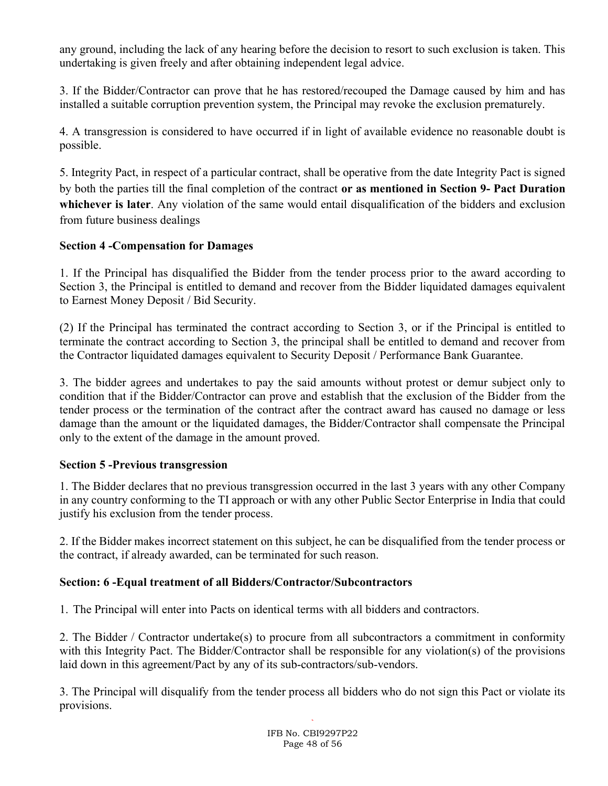any ground, including the lack of any hearing before the decision to resort to such exclusion is taken. This undertaking is given freely and after obtaining independent legal advice.

3. If the Bidder/Contractor can prove that he has restored/recouped the Damage caused by him and has installed a suitable corruption prevention system, the Principal may revoke the exclusion prematurely.

4. A transgression is considered to have occurred if in light of available evidence no reasonable doubt is possible.

5. Integrity Pact, in respect of a particular contract, shall be operative from the date Integrity Pact is signed by both the parties till the final completion of the contract or as mentioned in Section 9- Pact Duration whichever is later. Any violation of the same would entail disqualification of the bidders and exclusion from future business dealings

### Section 4 -Compensation for Damages

1. If the Principal has disqualified the Bidder from the tender process prior to the award according to Section 3, the Principal is entitled to demand and recover from the Bidder liquidated damages equivalent to Earnest Money Deposit / Bid Security.

(2) If the Principal has terminated the contract according to Section 3, or if the Principal is entitled to terminate the contract according to Section 3, the principal shall be entitled to demand and recover from the Contractor liquidated damages equivalent to Security Deposit / Performance Bank Guarantee.

3. The bidder agrees and undertakes to pay the said amounts without protest or demur subject only to condition that if the Bidder/Contractor can prove and establish that the exclusion of the Bidder from the tender process or the termination of the contract after the contract award has caused no damage or less damage than the amount or the liquidated damages, the Bidder/Contractor shall compensate the Principal only to the extent of the damage in the amount proved.

### Section 5 -Previous transgression

1. The Bidder declares that no previous transgression occurred in the last 3 years with any other Company in any country conforming to the TI approach or with any other Public Sector Enterprise in India that could justify his exclusion from the tender process.

2. If the Bidder makes incorrect statement on this subject, he can be disqualified from the tender process or the contract, if already awarded, can be terminated for such reason.

### Section: 6 -Equal treatment of all Bidders/Contractor/Subcontractors

1. The Principal will enter into Pacts on identical terms with all bidders and contractors.

2. The Bidder / Contractor undertake(s) to procure from all subcontractors a commitment in conformity with this Integrity Pact. The Bidder/Contractor shall be responsible for any violation(s) of the provisions laid down in this agreement/Pact by any of its sub-contractors/sub-vendors.

3. The Principal will disqualify from the tender process all bidders who do not sign this Pact or violate its provisions.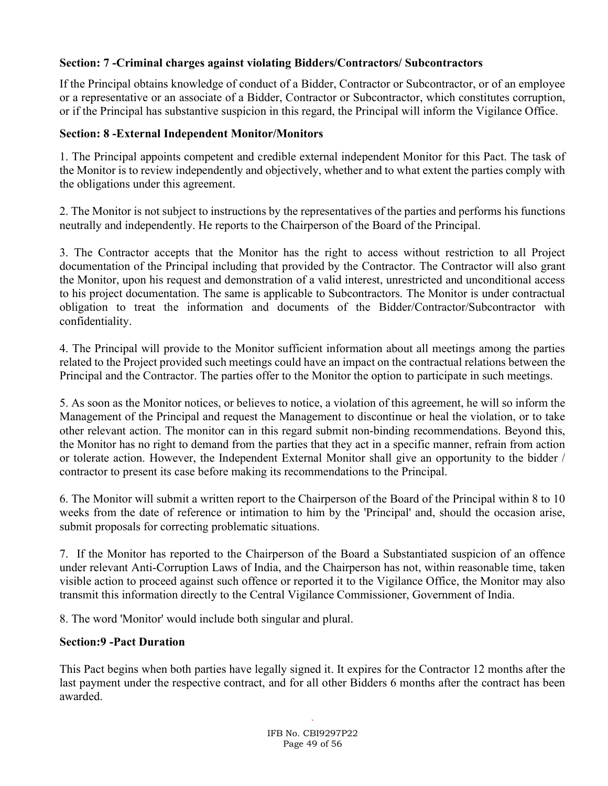### Section: 7 -Criminal charges against violating Bidders/Contractors/ Subcontractors

If the Principal obtains knowledge of conduct of a Bidder, Contractor or Subcontractor, or of an employee or a representative or an associate of a Bidder, Contractor or Subcontractor, which constitutes corruption, or if the Principal has substantive suspicion in this regard, the Principal will inform the Vigilance Office.

#### Section: 8 -External Independent Monitor/Monitors

1. The Principal appoints competent and credible external independent Monitor for this Pact. The task of the Monitor is to review independently and objectively, whether and to what extent the parties comply with the obligations under this agreement.

2. The Monitor is not subject to instructions by the representatives of the parties and performs his functions neutrally and independently. He reports to the Chairperson of the Board of the Principal.

3. The Contractor accepts that the Monitor has the right to access without restriction to all Project documentation of the Principal including that provided by the Contractor. The Contractor will also grant the Monitor, upon his request and demonstration of a valid interest, unrestricted and unconditional access to his project documentation. The same is applicable to Subcontractors. The Monitor is under contractual obligation to treat the information and documents of the Bidder/Contractor/Subcontractor with confidentiality.

4. The Principal will provide to the Monitor sufficient information about all meetings among the parties related to the Project provided such meetings could have an impact on the contractual relations between the Principal and the Contractor. The parties offer to the Monitor the option to participate in such meetings.

5. As soon as the Monitor notices, or believes to notice, a violation of this agreement, he will so inform the Management of the Principal and request the Management to discontinue or heal the violation, or to take other relevant action. The monitor can in this regard submit non-binding recommendations. Beyond this, the Monitor has no right to demand from the parties that they act in a specific manner, refrain from action or tolerate action. However, the Independent External Monitor shall give an opportunity to the bidder / contractor to present its case before making its recommendations to the Principal.

6. The Monitor will submit a written report to the Chairperson of the Board of the Principal within 8 to 10 weeks from the date of reference or intimation to him by the 'Principal' and, should the occasion arise, submit proposals for correcting problematic situations.

7. If the Monitor has reported to the Chairperson of the Board a Substantiated suspicion of an offence under relevant Anti-Corruption Laws of India, and the Chairperson has not, within reasonable time, taken visible action to proceed against such offence or reported it to the Vigilance Office, the Monitor may also transmit this information directly to the Central Vigilance Commissioner, Government of India.

8. The word 'Monitor' would include both singular and plural.

### Section:9 -Pact Duration

This Pact begins when both parties have legally signed it. It expires for the Contractor 12 months after the last payment under the respective contract, and for all other Bidders 6 months after the contract has been awarded.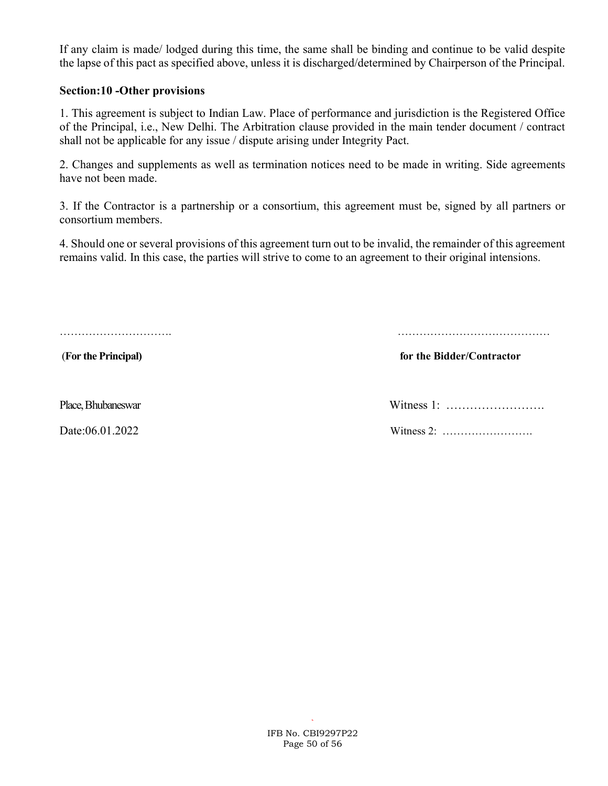If any claim is made/ lodged during this time, the same shall be binding and continue to be valid despite the lapse of this pact as specified above, unless it is discharged/determined by Chairperson of the Principal.

#### Section:10 -Other provisions

1. This agreement is subject to Indian Law. Place of performance and jurisdiction is the Registered Office of the Principal, i.e., New Delhi. The Arbitration clause provided in the main tender document / contract shall not be applicable for any issue / dispute arising under Integrity Pact.

2. Changes and supplements as well as termination notices need to be made in writing. Side agreements have not been made.

3. If the Contractor is a partnership or a consortium, this agreement must be, signed by all partners or consortium members.

4. Should one or several provisions of this agreement turn out to be invalid, the remainder of this agreement remains valid. In this case, the parties will strive to come to an agreement to their original intensions.

…………………………. ……………………………………

(For the Principal) for the Bidder/Contractor

Place, Bhubaneswar Witness 1: …………………….

Date:06.01.2022 Witness 2: …………………….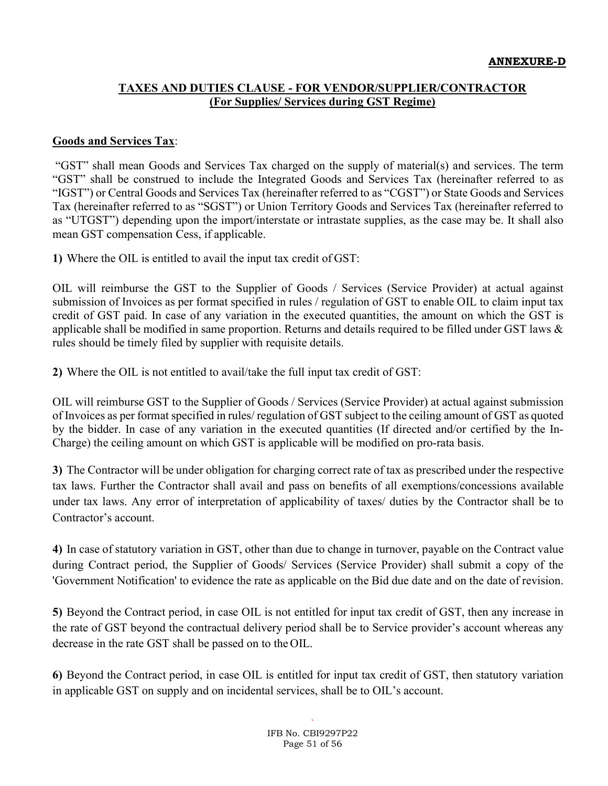### TAXES AND DUTIES CLAUSE - FOR VENDOR/SUPPLIER/CONTRACTOR (For Supplies/ Services during GST Regime)

#### Goods and Services Tax:

 "GST" shall mean Goods and Services Tax charged on the supply of material(s) and services. The term "GST" shall be construed to include the Integrated Goods and Services Tax (hereinafter referred to as "IGST") or Central Goods and Services Tax (hereinafter referred to as "CGST") or State Goods and Services Tax (hereinafter referred to as "SGST") or Union Territory Goods and Services Tax (hereinafter referred to as "UTGST") depending upon the import/interstate or intrastate supplies, as the case may be. It shall also mean GST compensation Cess, if applicable.

1) Where the OIL is entitled to avail the input tax credit of GST:

OIL will reimburse the GST to the Supplier of Goods / Services (Service Provider) at actual against submission of Invoices as per format specified in rules / regulation of GST to enable OIL to claim input tax credit of GST paid. In case of any variation in the executed quantities, the amount on which the GST is applicable shall be modified in same proportion. Returns and details required to be filled under GST laws  $\&$ rules should be timely filed by supplier with requisite details.

2) Where the OIL is not entitled to avail/take the full input tax credit of GST:

OIL will reimburse GST to the Supplier of Goods / Services (Service Provider) at actual against submission of Invoices as per format specified in rules/ regulation of GST subject to the ceiling amount of GST as quoted by the bidder. In case of any variation in the executed quantities (If directed and/or certified by the In-Charge) the ceiling amount on which GST is applicable will be modified on pro-rata basis.

3) The Contractor will be under obligation for charging correct rate of tax as prescribed under the respective tax laws. Further the Contractor shall avail and pass on benefits of all exemptions/concessions available under tax laws. Any error of interpretation of applicability of taxes/ duties by the Contractor shall be to Contractor's account.

4) In case of statutory variation in GST, other than due to change in turnover, payable on the Contract value during Contract period, the Supplier of Goods/ Services (Service Provider) shall submit a copy of the 'Government Notification' to evidence the rate as applicable on the Bid due date and on the date of revision.

5) Beyond the Contract period, in case OIL is not entitled for input tax credit of GST, then any increase in the rate of GST beyond the contractual delivery period shall be to Service provider's account whereas any decrease in the rate GST shall be passed on to the OIL.

6) Beyond the Contract period, in case OIL is entitled for input tax credit of GST, then statutory variation in applicable GST on supply and on incidental services, shall be to OIL's account.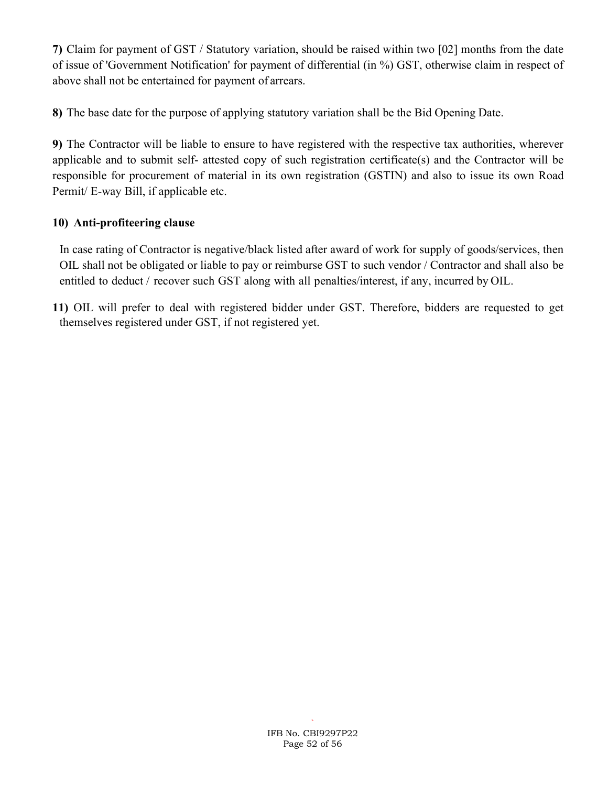7) Claim for payment of GST / Statutory variation, should be raised within two [02] months from the date of issue of 'Government Notification' for payment of differential (in %) GST, otherwise claim in respect of above shall not be entertained for payment of arrears.

8) The base date for the purpose of applying statutory variation shall be the Bid Opening Date.

9) The Contractor will be liable to ensure to have registered with the respective tax authorities, wherever applicable and to submit self- attested copy of such registration certificate(s) and the Contractor will be responsible for procurement of material in its own registration (GSTIN) and also to issue its own Road Permit/ E-way Bill, if applicable etc.

## 10) Anti-profiteering clause

In case rating of Contractor is negative/black listed after award of work for supply of goods/services, then OIL shall not be obligated or liable to pay or reimburse GST to such vendor / Contractor and shall also be entitled to deduct / recover such GST along with all penalties/interest, if any, incurred by OIL.

11) OIL will prefer to deal with registered bidder under GST. Therefore, bidders are requested to get themselves registered under GST, if not registered yet.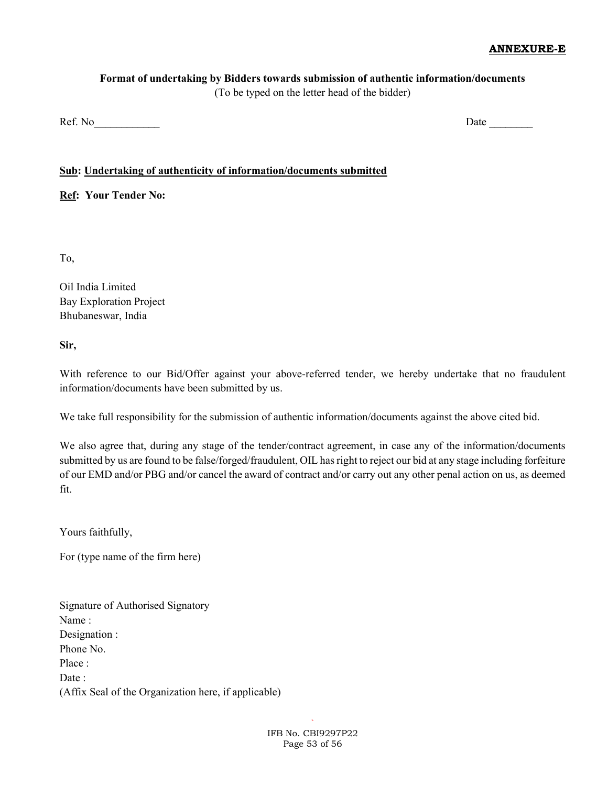#### ANNEXURE-E

# Format of undertaking by Bidders towards submission of authentic information/documents

(To be typed on the letter head of the bidder)

Ref. No\_\_\_\_\_\_\_\_\_\_\_\_ Date \_\_\_\_\_\_\_\_

#### Sub: Undertaking of authenticity of information/documents submitted

Ref: Your Tender No:

To,

Oil India Limited Bay Exploration Project Bhubaneswar, India

Sir,

With reference to our Bid/Offer against your above-referred tender, we hereby undertake that no fraudulent information/documents have been submitted by us.

We take full responsibility for the submission of authentic information/documents against the above cited bid.

We also agree that, during any stage of the tender/contract agreement, in case any of the information/documents submitted by us are found to be false/forged/fraudulent, OIL has right to reject our bid at any stage including forfeiture of our EMD and/or PBG and/or cancel the award of contract and/or carry out any other penal action on us, as deemed fit.

Yours faithfully,

For (type name of the firm here)

Signature of Authorised Signatory Name : Designation : Phone No. Place : Date: (Affix Seal of the Organization here, if applicable)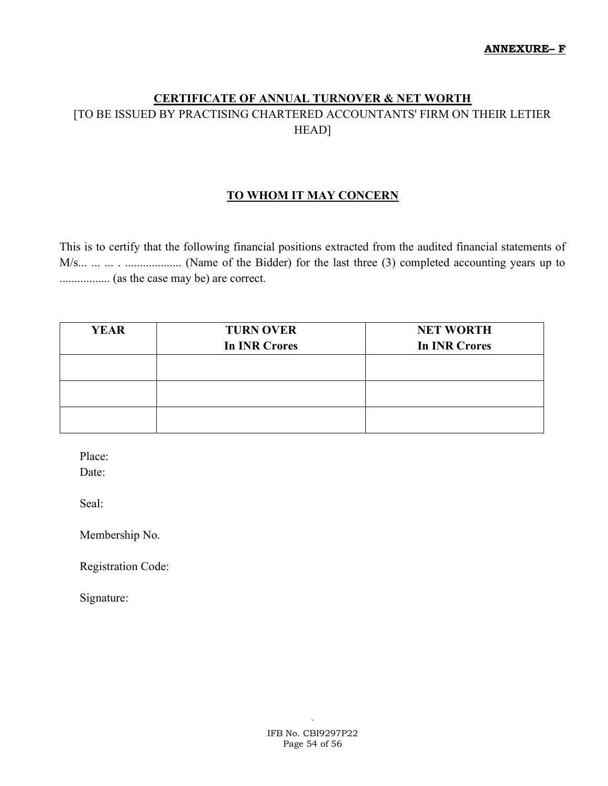# CERTIFICATE OF ANNUAL TURNOVER & NET WORTH [TO BE ISSUED BY PRACTISING CHARTERED ACCOUNTANTS' FIRM ON THEIR LETIER HEAD]

### TO WHOM IT MAY CONCERN

This is to certify that the following financial positions extracted from the audited financial statements of M/s... ... ... . ................... (Name of the Bidder) for the last three (3) completed accounting years up to ................. (as the case may be) are correct.

| <b>YEAR</b> | <b>TURN OVER</b>     | <b>NET WORTH</b>     |
|-------------|----------------------|----------------------|
|             | <b>In INR Crores</b> | <b>In INR Crores</b> |
|             |                      |                      |
|             |                      |                      |
|             |                      |                      |
|             |                      |                      |
|             |                      |                      |
|             |                      |                      |

Place:

Date:

Seal:

Membership No.

Registration Code:

Signature: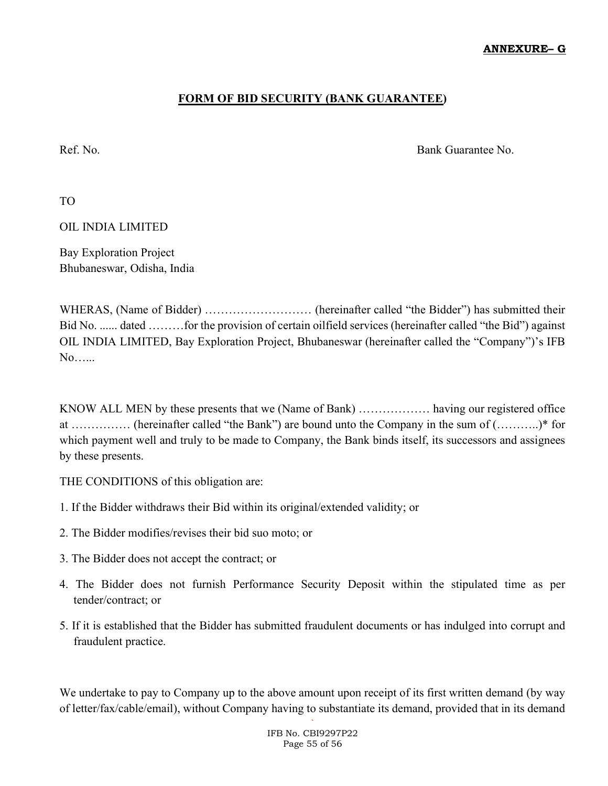#### ANNEXURE– G

### FORM OF BID SECURITY (BANK GUARANTEE)

Ref. No. Bank Guarantee No.

TO

OIL INDIA LIMITED

Bay Exploration Project Bhubaneswar, Odisha, India

WHERAS, (Name of Bidder) ……………………… (hereinafter called "the Bidder") has submitted their Bid No. ...... dated ………for the provision of certain oilfield services (hereinafter called "the Bid") against OIL INDIA LIMITED, Bay Exploration Project, Bhubaneswar (hereinafter called the "Company")'s IFB No…...

KNOW ALL MEN by these presents that we (Name of Bank) ……………… having our registered office at …………… (hereinafter called "the Bank") are bound unto the Company in the sum of (………..)\* for which payment well and truly to be made to Company, the Bank binds itself, its successors and assignees by these presents.

THE CONDITIONS of this obligation are:

- 1. If the Bidder withdraws their Bid within its original/extended validity; or
- 2. The Bidder modifies/revises their bid suo moto; or
- 3. The Bidder does not accept the contract; or
- 4. The Bidder does not furnish Performance Security Deposit within the stipulated time as per tender/contract; or
- 5. If it is established that the Bidder has submitted fraudulent documents or has indulged into corrupt and fraudulent practice.

We undertake to pay to Company up to the above amount upon receipt of its first written demand (by way of letter/fax/cable/email), without Company having to substantiate its demand, provided that in its demand